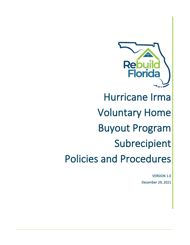

# Hurricane Irma Voluntary Home Buyout Program Subrecipient Policies and Procedures

VERSION 1.0 December 29, 2021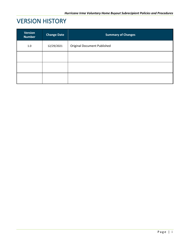# VERSION HISTORY

| <b>Version</b><br><b>Number</b> | <b>Change Date</b> | <b>Summary of Changes</b>          |
|---------------------------------|--------------------|------------------------------------|
| 1.0                             | 12/29/2021         | <b>Original Document Published</b> |
|                                 |                    |                                    |
|                                 |                    |                                    |
|                                 |                    |                                    |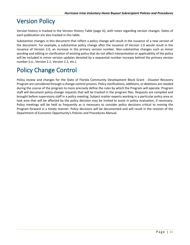# Version Policy

Version history is tracked in the Version History Table (page iii), with notes regarding version changes. Dates of each publication are also tracked in this table.

Substantive changes in this document that reflect a policy change will result in the issuance of a new version of the document. For example, a substantive policy change after the issuance of Version 1.0 would result in the issuance of Version 2.0, an increase in the primary version number. Non-substantive changes such as minor wording and editing or clarification of existing policy that do not affect interpretation or applicability of the policy will be included in minor version updates denoted by a sequential number increase behind the primary version number (i.e., Version 2.1, Version 2.2, etc.).

# Policy Change Control

Policy review and changes for the State of Florida Community Development Block Grant - Disaster Recovery Program are considered through a change-control process. Policy clarifications, additions, or deletions are needed during the course of the program to more precisely define the rules by which the Program will operate. Program staff will document policy-change requests that will be tracked in the program files. Requests are compiled and brought before supervisory staff in a policy meeting. Subject matter experts working in a particular policy area or task area that will be affected by the policy decision may be invited to assist in policy evaluation, if necessary. Policy meetings will be held as frequently as is necessary to consider policy decisions critical to moving the Program forward in a timely manner. Policy decisions will be documented and will result in the revision of the Department of Economic Opportunity's Policies and Procedures Manual.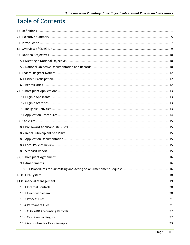# **Table of Contents**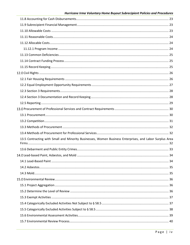| 13.5 Contracting with Small and Minority Businesses, Women Business Enterprises, and Labor Surplus Area |    |
|---------------------------------------------------------------------------------------------------------|----|
|                                                                                                         |    |
|                                                                                                         | 34 |
|                                                                                                         |    |
|                                                                                                         |    |
|                                                                                                         |    |
|                                                                                                         |    |
|                                                                                                         |    |
|                                                                                                         |    |
|                                                                                                         |    |
|                                                                                                         |    |
|                                                                                                         |    |
|                                                                                                         |    |
|                                                                                                         |    |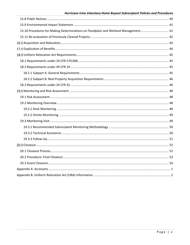#### Hurricane Irma Voluntary Home Buyout Subrecipient Policies and Procedures

| 15.10 Procedures for Making Determinations on Floodplain and Wetland Management 41 |  |
|------------------------------------------------------------------------------------|--|
|                                                                                    |  |
|                                                                                    |  |
|                                                                                    |  |
|                                                                                    |  |
|                                                                                    |  |
|                                                                                    |  |
|                                                                                    |  |
|                                                                                    |  |
|                                                                                    |  |
|                                                                                    |  |
|                                                                                    |  |
|                                                                                    |  |
|                                                                                    |  |
|                                                                                    |  |
|                                                                                    |  |
|                                                                                    |  |
|                                                                                    |  |
|                                                                                    |  |
|                                                                                    |  |
|                                                                                    |  |
|                                                                                    |  |
|                                                                                    |  |
|                                                                                    |  |
|                                                                                    |  |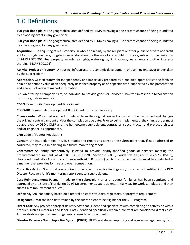# <span id="page-6-0"></span>1.0 Definitions

**100-year flood plain**: The geographical area defined by FEMA as having a one percent chance of being inundated by a flooding event in any given year.

**500-year flood plain**: The geographical area defined by FEMA as having a 0.2 percent chance of being inundated by a flooding event in any given year.

**Acquisition**: The acquiring of real property, in whole or in part, by the recipient or other public or private nonprofit entity through purchase, long-term lease, donation or otherwise for any public purpose, subject to the limitation of 24 CFR 570.207. Real property includes air rights, water rights, rights-of-way, easements and other interests therein. (24CFR 570.201)

**Activity, Project or Program**: A housing, infrastructure, economic development, or planning endeavor undertaken by the subrecipient.

**Appraisal**: A written statement independently and impartially prepared by a qualified appraiser setting forth an opinion of defined value of an adequately described property as of a specific date, supported by the presentation and analysis of relevant market information.

**Bid**: An offer by a company, firm, or individual to provide goods or services submitted in response to solicitation for those goods or services.

**CDBG**: Community Development Block Grant

**CDBG-DR**: Community Development Block Grant – Disaster Recovery

**Change order**: Work that is added or deleted from the original contract activities to be performed and changes the original contract amount and/or the completion due date. Prior to being implemented, the change order must be approved by DEO's OLTR and the homeowner, subrecipient, contractor, subcontractor and project architect and/or engineer, as appropriate.

#### **CFR**: Code of Federal Regulations

**Concern**: An issue identified in DEO's monitoring report and sent to the subrecipient that, if not addressed or corrected, may result in a finding in a future monitoring report.

**Contractor**: An entity competitively selected to provide clearly-specified goods or services meeting the procurement requirements at 24 CFR 85.36, 2 CFR 200, Section 287.055, Florida Statutes, and Rule 73-23.0051(3), Florida Administrative Code. In accordance with 24 CFR 85.36(c), such procurement actions must be conducted in a manner that provides for free and open competition.

**Corrective Action**: Steps that are required to be taken to resolve findings and/or concerns identified in the DEO Disaster Recovery Unit's monitoring report sent to a subrecipient.

**Cost Reimbursement**: Payment made to the subrecipient after a request for funds has been submitted and approved by the State of Florida. (In CDBG DR agreements, subrecipients initially pay for work completed and then submit a reimbursement request.)

**Deficiency**: An inadequacy based on a federal or state statutory, regulatory, or program requirement.

**Designated Area:** the land determined by the subrecipient to be eligible for the VHB Program.

**Direct Cost**: Any project or project delivery cost that is identified specifically with completing an activity or with a product, such as materials and labor. Costs identified specifically within a contract are considered direct costs. Administrative expenses are not generally considered direct costs.

**Disaster Recovery Grant Reporting System (DRGR):** HUD's web-based reporting and grants-management system.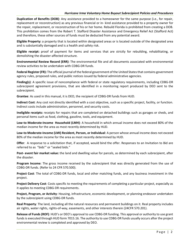#### *Hurricane Irma Voluntary Home Buyout Subrecipient Policies and Procedures*

**Duplication of Benefits (DOB)**: Any assistance provided to a homeowner for the same purpose (i.e., for repair, replacement or reconstruction) as any previous financial or in- kind assistance provided to a property owner for the repair, replacement, or reconstruction of his or her home. Rebuild Florida is prohibited from creating a DOB. This prohibition comes from the Robert T. Stafford Disaster Assistance and Emergency Relief Act (Stafford Act) and therefore, these other sources of funds must be deducted from any potential award.

**Eligible Property:** a property that is located within designated areas or is located outside of the designated area and is substantially damaged and is a health and safety risk.

**Eligible receipt:** proof of payment for items and services that are strictly for rebuilding, rehabilitating, or demolishing the disaster-affected structure.

**Environmental Review Record (ERR)**: The environmental file and all documents associated with environmental review activities to be undertaken with CDBG-DR funds.

**Federal Register(FR):** The official journal of the federal government of the United States that contains government agency rules, proposed rules, and public notices issued by federal administrative agencies.

**Finding(s)**: A specific issue of noncompliance with federal or state regulatory requirements, including CDBG-DR subrecipient agreement provisions, that are identified in a monitoring report produced by DEO sent to the subrecipient.

**Grantee**: As used in this manual, it is DEO, the recipient of CDBG-DR funds from HUD.

**Indirect Cost**: Any cost not directly identified with a cost objective, such as a specific project, facility, or function. Indirect costs include administration, personnel, and security costs.

**Ineligible receipts:** receipts for repairs that are completed on detached buildings such as garages or sheds, and personal items such as food, clothing, gasoline, tools, and equipment.

**Low-to Moderate-Income Household (LMH)**: A household in which annual income does not exceed 80% of the median income for the area as most recently determined by HUD.

**Low-to Moderate-Income (LMI) Resident, Person, or Individual**: A person whose annual income does not exceed 80% of the median income for the area as most recently determined by HUD.

**Offer**: A response to a solicitation that, if accepted, would bind the offer. Responses to an Invitation to Bid are referred to as "bids"' or "sealed bids."

**Post- event fair market value:** the land and dwelling value for parcels, as determined by each subrecipient, after the disaster.

**Program Income**: The gross income received by the subrecipient that was directly generated from the use of CDBG-DR funds. (Refer to 24 CFR 570.500).

**Project Cost**: The total of CDBG-DR funds, local and other matching funds, and any business investment in the project.

**Project Delivery Cost**: Costs specific to meeting the requirements of completing a particular project, especially as it applies to meeting CDBG-DR requirements.

**Project, Program, or Activity**: Housing, infrastructure, economic development, or planning endeavor undertaken by the subrecipient using CDBG-DR funds.

**Real Property**: The land, including all the natural resources and permanent buildings on it. Real property includes air rights, water rights, rights-of-way, easements, and other interests therein (24CFR 570.201).

**Release of Funds(ROF)**: HUD's or DEO's approval to use CDBG-DR funding. This approval or authority to use grant funds is executed through HUD form 7015.16. The authority to use CDBG-DR funds usually occurs after the project environmental review is completed and approved by DEO.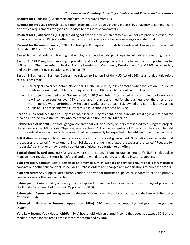**Request for Funds (RFF)**: A subrecipient's request for funds from DEO.

**Request for Proposals (RFPs)**: A solicitation, often made through a bidding process, by an agency to communicate an entity's requirements for goods or services to prospective contractors.

**Request for Qualifications (RFQs)**: A bidding solicitation in which an entity asks vendors to provide a cost quote for goods or services. RFQs are often used to procure the services of an engineering or architectural firm.

**Request for Release of Funds (RROF)**: A subrecipient's request for funds to be released. This request is executed through HUD Form 7015.15.

**Sealed Bid**: A method of contracting that employs competitive bids, public opening of bids, and awarding the bid.

**Section 3**: A HUD regulation relating to providing and tracking employment and other economic opportunities for LMI persons. The rules refer to Section 3 of the Housing and Community Development Act of 1968, as amended, and the implementing regulations, 24 CFR Part 75.

**Section 3 Business or Business Concern**: As related to Section 3 of the HUD Act of 1968, as amended, this refers to a business that:

- For projects awarded before November 30, 2020 (Old Rule): 51% or more owned by Section 3 residents or whose permanent, full-time employees includes 30% of such residents as employees.
- For projects awarded after November 30, 2020 (New Rule): 51% owned and controlled by low-or very low-income persons; or over 75% of the labor hours performed for the business over the prior threemonth period were performed by Section 3 workers; or at least 51% owned and controlled by current public housing residents who currently live in Section 8-assisted housing.

**Section 3 Resident**: A public housing resident, tribal housing resident, or an individual residing in a metropolitan area or a non-metropolitan county who meets the definition of a an LMI person.

**Service Area of Benefit**: The total geographic area that will be directly or indirectly served by a subgrant project. that addresses the LMI National Objective, where at least 51% of the residents are LMI persons. The area of benefit must include all areas, and only those areas, that can reasonably be expected to benefit from the project activity.

**Solicitation**: Any request to submit offers or quotations to a local government. Solicitations under sealed bid procedures are called "Invitations to Bid." Solicitations under negotiated procedures are called "Request for Proposals." Solicitations may require submission of either a quotation or an offer.

**Special flood hazard area (SFHA)**: areas where the National Flood Insurance Program's (NFIP's) floodplain management regulations must be enforced and the mandatory purchase of flood insurance applies.

**Subcontract**: A contract with a person or an entity to furnish supplies or services required for a larger project contract or another subcontract. It includes purchase orders and changes and modifications to purchase orders.

**Subcontractor**: Any supplier, distributor, vendor, or firm that furnishes supplies or services to or for a primary contractor or another subcontractor.

**Subrecipient**: A municipality or county that has applied for and has been awarded a CDBG-DR buyout project by the Florida Department of Economic Opportunity (DEO).

**Subrecipient Agreement**: An agreement between DEO and a municipality or county to undertake activities using CDBG-DR funds.

**Subrecipient Enterprise Resource Application (SERA)**: DEO's web-based reporting and grants management system.

**Very Low-Income (VLI) Household/Family**: A household with an annual income that does not exceed 30% of the median income for the area as most recently determined by HUD.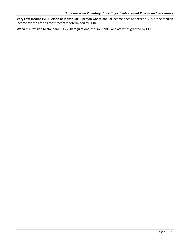**Very Low-Income (VLI) Person or Individual**: A person whose annual income does not exceed 30% of the median income for the area as most recently determined by HUD.

**Waiver**: A revision to standard CDBG-DR regulations, requirements, and activities granted by HUD.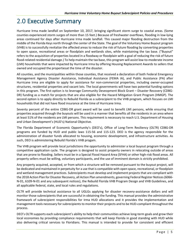# <span id="page-10-0"></span>2.0 Executive Summary

Hurricane Irma made landfall on September 10, 2017, bringing significant storm surge to coastal areas. (Some counties experienced storm surges of more than 15 feet.) Because of freshwater overflows, flooding in low-lying areas continued for days after Hurricane Irma made landfall. This caused major flooding destruction from the middle of the Florida Keys north through the center of the State. The goal of the Voluntary Home Buyout program (VHB) is to successfully revitalize the affected areas to reduce the risk of future flooding by converting properties to open space, recreational areas or floodplain and wetlands sites, while maintaining the tax base. ("Buyout" refers to the acquisition of properties located in a floodway or floodplain with a goal of reducing the risk of future flood-related residential damage.) To help maintain the tax base, this program will assist low-to-moderate income (LMI) households that were impacted by Hurricane Irma by offering Housing Replacement Awards to sellers that owned and occupied the propertiesat the time of the disaster.

All counties, and the municipalities within those counties, that received a declaration of both Federal Emergency Management Agency Disaster Assistance, Individual Assistance (FEMA IA), and Public Assistance (PA) after Hurricane Irma are eligible to apply for assistance for non-commercial properties, including owner-occupied structures, residential properties and vacant lots. The local governments will have two potential funding options in this program. The first option is to leverage Community Deveopment Block Grant – Disaster Recovery (CDBG-DR) funding as a match for projects that are also eligible for the Hazard Mitigation Grant Program (HMGP). The second option is to apply directly to Rebuild Florida as a subrecipient to the VHB program, which focuses on LMI households that did not have flood insurance at the time of Hurricane Irma.

Seventy percent of the entire CDBG-DR grant award will be used to benefit LMI persons, while ensuring that properties acquired through the buyouts will be used in a manner that benefits all the residents in an area where at least 51% of the residents are LMI persons. This requirement is necessary to reach U.S. Department of Housing and Urban Development's (HUD's) National Objective.

The Florida Department of Economic Opportunity's (DEO's), Office of Long-Term Resiliency (OLTR) CDBG-DR programs are funded by HUD and public laws 115-56 and 115-123. DEO is the agency responsible for the administration of disaster funds allocated to housing, economic development, and infrastructure activities. As such, DEO is administering Rebuild Florida's VHB progam.

The VHB program will provide local jurisdictions the opportunity to administer a local buyout program through a competitive application cycle. The program is designed to assist property owners in relocating outside of areas that are prone to flooding. Sellers must be in a Special Flood Hazard Area (SFHA) or other high-risk flood areas. All property sellers must be willing, voluntary participants, and the use of imminent domain is strictly prohibited.

Any property acquired, accepted, or from which a structure will be removed pursuant to the buyout project, will be dedicated and maintained in perpetuity for a use that is compatible with open space, recreational, or floodplain and wetland management practices. Subrecipients must develop and implement projects that are compliant with the 2018 Action Plan for Disaster Recovery, all Action Plan amendments, governing Federal Register Notices (6066- N-01, 6109-N-01 and any subsequent notices), the Rebuild Florida VHB Program Design and VHB Guidelines, and all applicable federal, state, and local rules and regulations.

OLTR will provide technical assistance to all UGLGs applying for disaster recovery-assistance dollars and will monitor those subrecipients that are successful in obtaining the funding. This manual provides the administrative framework of subrecipient responsibilities for Irma HUD allocations and it provides the implementation and management tools necessary for subrecipients to monitor their projects and to be HUD-compliant throughout the process.

DEO's OLTR supports each subrecipient's ability to help their communities achieve long-term goals and grow their local economies by providing compliance requirements that will keep Florida in good standing with HUD while also delivering critical services to Floridians. This manual is intended to provide for consistent and efficient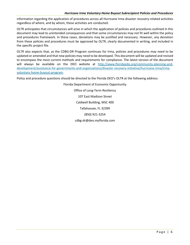#### *Hurricane Irma Voluntary Home Buyout Subrecipient Policies and Procedures*

information regarding the application of procedures across all Hurricane Irma disaster recovery-related activities regardless of where, and by whom, these activities are conducted.

OLTR anticipates that circumstances will arise in which the application of policies and procedures outlined in this document may lead to unintended consequences and that some circumstances may not fit well within the policy and procedures framework. In these cases, deviations may be justified and necessary. However, any deviation from these policies and procedures must be approved by OLTR, clearly documented in writing, and included in the specific project file.

OLTR also expects that, as the CDBG-DR Program continues for Irma, policies and procedures may need to be updated or amended and that new policies may need to be developed. This document will be updated and revised to encompass the most current methods and requirements for compliance. The latest version of the document will always be available on the DEO website at [http://www.floridajobs.org/community-planning-and](http://www.floridajobs.org/community-planning-and-development/assistance-for-governments-and-organizations/disaster-recovery-initiative/hurricane-irma/irma-voluntary-home-buyout-program)[development/assistance-for-governments-and-organizations/disaster-recovery-initiative/hurricane-irma/irma](http://www.floridajobs.org/community-planning-and-development/assistance-for-governments-and-organizations/disaster-recovery-initiative/hurricane-irma/irma-voluntary-home-buyout-program)[voluntary-home-buyout-program.](http://www.floridajobs.org/community-planning-and-development/assistance-for-governments-and-organizations/disaster-recovery-initiative/hurricane-irma/irma-voluntary-home-buyout-program)

Policy and procedure questions should be directed to the Florida DEO's OLTR at the following address:

Florida Department of Economic Opportunity Office of Long-Term Resiliency 107 East Madison Street Caldwell Building, MSC 400 Tallahassee, FL 32399 (850) 921-3254 [cdbg-dr@deo.myflorida.com](mailto:cdbg-dr@deo.myflorida.com)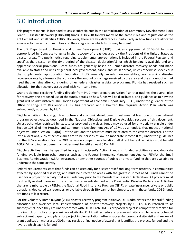# <span id="page-12-0"></span>3.0 Introduction

This program manual is intended to assist subrecipients in the administration of Community Development Block Grant – Disaster Recovery (CDBG-DR) funds. CDBG-DR follows many of the same rules and regulations as the entitlement and small cities CDBG. However, there are key differences, particularly in how funds are allocated among activities and communities and the categories in which funds may be spent.

The U.S. Department of Housing and Urban Development (HUD) provides supplemental CDBG-DR funds as appropriated by Congress to assist in the recovery of areas declared by the President of the United States as disaster areas. The public notice regarding supplemental appropriations is included in the Federal Register and specifies the disaster or the time period of the disaster declaration(s) for which funding is available and any applicable special provisions. Grant funds are generally based on unmet disaster recovery needs and made available to states and units of general local government, tribes, and insular areas, unless otherwise specified in the supplemental appropriation legislation. HUD generally awards noncompetitive, nonrecurring disaster recovery grants by a formula that considers the amount of damage received by the area and the amount of unmet need that remains after considering other federal disaster assistance programs. Florida has received such an allocation for the recovery associated with Hurricane Irma.

Grant recipients receiving funding directly from HUD must prepare an Action Plan that outlines the overall plan for recovery, the proposed use of the funds, details on how funds will be distributed, and guidance as to how the grant will be administered. The Florida Department of Economic Opportunity (DEO), under the guidance of the Office of Long-Term Resiliency (OLTR), has prepared and submitted the requisite Action Plan which was subsequently approved by HUD.

Eligible activities in housing, infrastructure and economic development must meet at least one of three national program objectives, as described in the National Objectives and Eligible Activities sections of this document. Unless otherwise restricted by statute or provided by waiver, funds may be used for any activity eligible under Section 105(a) of the Housing and Community Development Act of 1974, as amended, that meets a national objective under Section 104(b)(3) of the Act, and the activities must be related to the covered disaster. For the Irma allocations, 70% of beneficiaries are to be persons of low- to moderate-income (LMI) under the guidelines for the 80% allocation. For the 20% set-aside competitive allocation, all direct benefit activities must benefit 100%LMI, and indirect benefit activities must benefit at least 51% LMI.

Eligible activities must be specified in a grant recipient's Action Plan, and funded activities cannot duplicate funding available from other sources such as the Federal Emergency Management Agency (FEMA), the Small Business Administration (SBA), insurance, or any other sources of public or private funding that are available to undertake the same activity.

Federal requirements state that funds can be used only for disaster relief and long-term recovery in communities affected by specified disaster(s) and must be directed to areas with the greatest unmet need. Funds cannot be used for a project or activity that was underway prior to the Presidential Disaster Declaration. All projects must be directly related to one or more of the disaster events defined in the Presidential Disaster Declaration. Activities that are reimbursable by FEMA, the National Flood Insurance Program (NFIP), private insurance, private or public donations, dedicated tax revenues, or available through SBA cannot be reimbursed with these funds. CDBG funds are funds of last resort.

For the Voluntary Home Buyout (VHB) disaster recovery program initiative, OLTR administers the federal funding allocation and oversees local implementation of disaster-recovery projects by UGLGs, also referred to as *subrecipients,* once they are under contract with OLTR. Each UGLG's proposed project is competitively ranked for funding. Upon notice of preliminary eligibility, OLTR will schedule a pre-award site visit to assess potential subrecipient capacity and plans for project implementation. After a successful pre-award site visit and review of grant application materials, UGLGs may receive a final notice of award that identifies the projects funded and the level at which each is funded.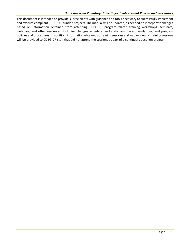#### *Hurricane Irma Voluntary Home Buyout Subrecipient Policies and Procedures*

This document is intended to provide subrecipients with guidance and tools necessary to successfully implement and execute compliant CDBG-DR–funded projects. The manual will be updated, as needed, to incorporate changes based on information obtained from attending CDBG-DR program-related training workshops, seminars, webinars, and other resources, including changes in federal and state laws, rules, regulations, and program policies and procedures. In addition, information obtained at training sessions and an overview of training sessions will be provided to CDBG-DR staff that did not attend the sessions as part of a continual education program.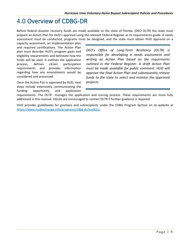# <span id="page-14-0"></span>4.0 Overview of CDBG-DR

Before federal disaster recovery funds are made available to the state of Florida, (DEO OLTR) the state must prepare an Action Plan for HUD's approval using the relevant Federal Register as its requirements guide. A needs assessment must be conducted, programs must be designed, and the state must obtain HUD approval on a

capacity assessment, an implementation plan and required certifications. The Action Plan plan must describe HUD's program goals and eligibility requirements and delineate how the funds will be used. It outlines the application process, defines citizen participation requirements and provides information regarding how any amendments would be considered and processed.

Once the Action Pan is approved by HUD, next steps include extensively communicating the funding opportunity and application

*DEO's Office of Long-Term Resiliency (OLTR) is responsible for developing a needs assessment and writing an Action Plan based on the requirments outlined in the Federal Register. A draft Action Plan must be made available for public comment. HUD will approve the final Action Plan and subsequently release funds to the state to select and monitor the approved projects.* 

requirements. The OLTR manages the application and scoring process. These requirements are more fully addressed in this manual. UGLGs are encouraged to contact OLTR if further guidance is required.

HUD provides guidebooks for grantees and subrecipients under the CDBG Program Section on its website at [https://www.hudexchange.info/programs/cdbg-dr/toolkits/.](https://www.hudexchange.info/programs/cdbg-dr/toolkits/)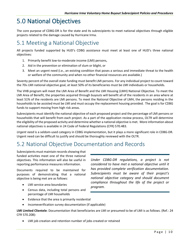# <span id="page-15-0"></span>5.0 National Objectives

The core purpose of CDBG-DR is for the state and its subrecipients to meet national objectives through eligible projects related to the damage caused by Hurricane Irma.

# <span id="page-15-1"></span>5.1 Meeting a National Objective

All projects funded supported by HUD's CDBG assistance must meet at least one of HUD's three national objectives:

- 1. Primarily benefit low-to-moderate income (LMI) persons,
- 2. Aid in the prevention or elimination of slum or blight, or
- 3. Meet an urgent need (i.e., an existing condition that poses a serious and immediate threat to the health or welfare of the community and when no other financial resources are available.)

Seventy percent of the overall state funding must benefit LMI persons. For any individual project to count toward the 70% LMI national objective goal, at least 50% of its beneficiaries must be LMI individuals or households.

The VHB program will meet the LMI Area of Benefit and the LMI Housing (LMH) National Objective. To meet the LMI Area of Benefit, the properties acquired through buyouts will benefit all of the residents in an area where at least 51% of the residents are LMI persons. To meet the National Objective of LMH, the persons residing in the households to be assisted must be LMI and must occupy the replacement housing provided. The goal is for CDBG funds to support moving from high risk areas.

Subrecipients must identify the national objective of each proposed project and the percentage of LMI persons or households that will benefit from each project. As a part of the application review process, OLTR will determine the eligibility of the proposed activity and determine whether a national objective is met. More information about national objectives is available in 24 Code of Federal Regulations (CFR) 570.483.

*Urgent need* is a seldom-used category in CDBG implementation, but it plays a more significant role in CDBG-DR. Urgent need can be difficult to justify and should be thoroughly reviewed with the OLTR.

### <span id="page-15-2"></span>5.2 National Objective Documentation and Records

Subrecipients must maintain records showing that funded activities meet one of the three national objectives. This information will also be useful in reporting performance measures information.

Documents required to be maintained for purposes of demonstrating that a national objective is being met are as follows:

- LMI service area boundaries
- Census data, including total persons and percentage of LMI households

*Under CDBG-DR regulations, a project is not considered to have met a national objective until it has provided complete verification documentation. Subrecipients must be aware of their project's national objective category and should document compliance throughout the life of the project or program.* 

- Evidence that the area is primarily residential
- Incomeverification survey documentation (if applicable)

**LMI Limited Clientele**: Documentation that beneficiaries are LMI or presumed to be of LMI is as follows. (Ref.: 24 CFR 570.208):

LMI job creation and retention number of jobs created or retained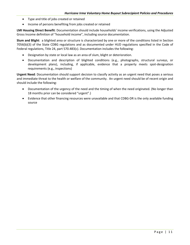- Type and title of jobs created or retained
- Income of persons benefiting from jobs created or retained

**LMI Housing Direct Benefit**: Documentation should include households' income verifications, using the Adjusted Gross Income definition of "household income", including source documentation.

**Slum and Blight**: a blighted area or structure is characterized by one or more of the conditions listed in Section 7056(b)(3) of the State CDBG regulations and as documented under HUD regulations specified in the Code of Federal regulations, Title 24, part 570.483(c). Documentation includes the following:

- Designation by state or local law as an area of slum, blight or deterioration.
- Documentation and description of blighted conditions (e.g., photographs, structural surveys, or development plans), including, if applicable, evidence that a property meets spot-designation requirements (e.g., inspections)

**Urgent Need**: Documentation should support decision to classify activity as an urgent need that poses a serious and immediate threat to the health or welfare of the community. An urgent need should be of recent origin and should include the following:

- Documentation of the urgency of the need and the timing of when the need originated. (No longer than 18 months prior can be considered "urgent".)
- Evidence that other financing resources were unavailable and that CDBG-DR is the only available funding source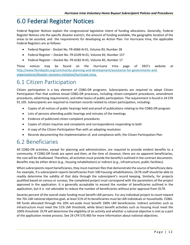# <span id="page-17-0"></span>6.0 Federal Register Notices

Federal Register Notices explain the congressional legislative intent of funding allocations. Generally, Federal Register Notices cite the specific disaster event/s, the amount of funding available, the geographic location of the areas to be assisted, and the requirements for developing an Action Plan. For Hurricane Irma, the applicable Federal Registers are as follows:

- Federal Register Docket No. FR-6066-N-01, Volume 83, Number 28
- Federal Register Docket No. FR-6109-N-01, Volume 83, Number 157
- Federal Register Docket No. FR-6182-N-01, Volume 85, Number 17

These notices may be found on the Hurricane Irma page of DEO's website at [http://www.floridajobs.org/community-planning-and-development/assistance-for-governments-and](http://www.floridajobs.org/community-planning-and-development/assistance-for-governments-and-organizations/disaster-recovery-initiative/hurricane-irma)[organizations/disaster-recovery-initiative/hurricane-irma.](http://www.floridajobs.org/community-planning-and-development/assistance-for-governments-and-organizations/disaster-recovery-initiative/hurricane-irma)

### <span id="page-17-1"></span>6.1 Citizen Participation

Citizen participation is a key element of CDBG-DR programs. Subrecipients are required to adopt Citizen Participation Plan that outlines broad CDBG-DR processes, including citizen-complaint procedures, amendment procedures, advertising requirements, and other basics of public participation. The requirement is found in 24 CFR 91.105. Subrecipients are required to maintain records related to citizen participation, including:

- Copies of all notices of public hearings held and proof of publications relating to the CDBG-DR program
- Lists of persons attending public hearings and minutes of the meetings
- Evidence of publicized citizen complaint procedures
- Copies of citizen inquiries and complaints and correspondence responding to both
- A copy of the Citizen Participation Plan with an adopting resolution
- Records documenting the implementation of, and compliance with, the Citizen Participation Plan

#### <span id="page-17-2"></span>6.2 Beneficiaries

All CDBG-DR activities, except for planning and administration, are required to provide evident benefits to a community. If CDBG-DR funds are spent and then, at the time of closeout, there are no apparent beneficiaries, the cost will be disallowed. Therefore, all activities must provide the benefit/s outlined in the contract documents. Benefits may be either direct (e.g., housing rehabilitation) or indirect (e.g., infrastructure, public facilities).

When subrecipients report beneficiaries, they must maintain files that demonstrate the source of beneficiary data. For example, if a subrecipient reports beneficiaries from 100 housing rehabilitations, OLTR staff should be able to readily determine the validity of that data through the subrecipient's record keeping. Similarly, for projects qualified based on census or surveys, the completed project must correspond with the parameters of the project approved in the application. It is generally acceptable to exceed the number of beneficiaries outlined in the application, but it is not advisable to reduce the number of beneficiaries without prior approval from OLTR.

Seventy percent of the overall state funding must benefit LMI persons. For any individual project to count toward the 70% LMI national objective goal, at least 51% of its beneficiaries must be LMI individuals or households. CDBG-DR funds allocated through the 20% set-aside must benefit 100% LMI beneficiaries. Indirect activities such as infrastructure must meet the 51% LMI threshold, while direct benefit activities such as housing must meet the 100% threshold. OLTR will determine the eligibility of an activity and whether a national objective is met as a part of the application review process. See 24 CFR 570.483 for more information about national objectives.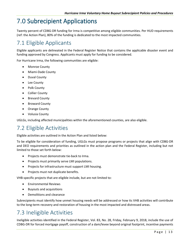# <span id="page-18-0"></span>7.0 Subrecipient Applications

Twenty percent of CDBG-DR funding for Irma is competitive among eligible communities. Per HUD requirements (ref: the Action Plan), 80% of the funding is dedicated to the most impacted communities.

# <span id="page-18-1"></span>7.1 Eligible Applicants

Eligible applicants are delineated in the Federal Register Notice that contains the applicable disaster event and funding approved by Congress. Applicants must apply for funding to be considered.

For Hurricane Irma, the following communities are eligible:

- Monroe County
- Miami-Dade County
- Duval County
- Lee County
- Polk County
- Collier County
- Brevard County
- Broward County
- Orange County
- Volusia County

UGLGs, including affected municipalities within the aforementioned counties, are also eligible.

#### <span id="page-18-2"></span>7.2 Eligible Activities

Eligible activities are outlined in the Action Plan and listed below:

To be eligible for consideration of funding, UGLGs must propose programs or projects that align with CDBG-DR and DEO requirements and priorities as outlined in the action plan and the Federal Register, including but not limited to those set forth below:

- Projects must demonstrate tie-back to Irma.
- Projects must primarily serve LMI populations.
- Projects for infrastructure must support LMI housing.
- Projects must not duplicate benefits.

VHB-specific projects that are eligible include, but are not limited to:

- Environmental Reviews
- Buyouts and acquisitions
- Demolitions and clearance

Subrecipients must identify how unmet housing needs will be addressed or how its VHB activities will contribute to the long-term recovery and restoration of housing in the most impacted and distressed areas.

### <span id="page-18-3"></span>7.3 Ineligible Activities

Ineligible activities identified in the Federal Register, Vol. 83, No. 28, Friday, February 9, 2018, include the use of CDBG-DR for forced mortgage payoff, construction of a dam/levee beyond original footprint, incentive payments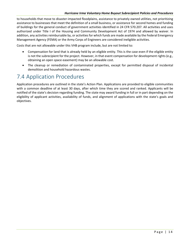#### *Hurricane Irma Voluntary Home Buyout Subrecipient Policies and Procedures*

to households that move to disaster-impacted floodplains, assistance to privately owned utilities, not prioritizing assistance to businesses that meet the definition of a small business, or assistance for second homes and funding of buildings for the general conduct of government activities identified in 24 CFR 570.207. All activities and uses authorized under Title I of the Housing and Community Development Act of 1974 and allowed by waiver. In addition, any activities reimbursable by, or activities for which funds are made available by the Federal Emergency Management Agency (FEMA) or the Army Corps of Engineers are considered ineligible activities.

Costs that are not allowable under this VHB program include, but are not limited to:

- Compensation for land that is already held by an eligible entity. This is the case even if the eligible entity is not the subrecipient for the project. However, in that event compensation for development rights (e.g., obtaining an open space easement) may be an allowable cost.
- The cleanup or remediation of contaminated properties, except for permitted disposal of incidental demolition and household hazardous wastes.

### <span id="page-19-0"></span>7.4 Application Procedures

Application procedures are outlined in the state's Action Plan. Applications are provided to eligible communities with a common deadline of at least 30 days, after which time they are scored and ranked. Applicants will be notified of the state's decision regarding funding. The state may award funding in full or in part depending on the eligibility of applicant activities, availability of funds, and alignment of applications with the state's goals and objectives.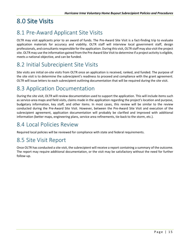# <span id="page-20-0"></span>8.0 Site Visits

# <span id="page-20-1"></span>8.1 Pre-Award Applicant Site Visits

OLTR may visit applicants prior to an award of funds. The Pre-Award Site Visit is a fact-finding trip to evaluate application materials for accuracy and viability. OLTR staff will interview local government staff, design professionals, and consultants responsible for the application. During this visit, OLTR staff may also visit the project site. OLTR may use the information gained from the Pre-Award Site Visit to determine if a project activity is eligible, meets a national objective, and can be funded.

### <span id="page-20-2"></span>8.2 Initial Subrecipient Site Visits

Site visits are initial on-site visits from OLTR once an application is received, ranked, and funded. The purpose of the site visit is to determine the subrecipient's readiness to proceed and compliance with the grant agreement. OLTR will issue letters to each subrecipient outlining documentation that will be required during the site visit.

### <span id="page-20-3"></span>8.3 Application Documentation

During the site visit, OLTR will review documentation used to support the application. This will include items such as service-area maps and field visits, claims made in the application regarding the project's location and purpose, budgetary information, key staff, and other items. In most cases, this review will be similar to the review conducted during the Pre-Award Site Visit. However, between the Pre-Award Site Visit and execution of the subrecipient agreement, application documentation will probably be clarified and improved with additional information (better maps, engineering plans, service area refinements, tie-back to the storm, etc.).

### <span id="page-20-4"></span>8.4 Local Policies Review

Required local policies will be reviewed for compliance with state and federal requirements.

#### <span id="page-20-5"></span>8.5 Site Visit Report

Once OLTR has conducted a site visit, the subrecipient will receive a report containing a summary of the outcome. The report may require additional documentation, or the visit may be satisfactory without the need for further follow-up.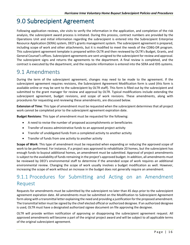# <span id="page-21-0"></span>9.0 Subrecipient Agreement

Following application reviews, site visits to verify the information in the application, and completion of the risk analysis, the subrecipient award process is initiated. During this process, contract numbers are provided by the Operations Unit and initial information regarding the subrecipient is entered into the Subrecipient Enterprise Resource Application (SERA) system, DEO's grants management system. The subrecipient agreement is prepared, including scope of work and other attachments, but it is modified to meet the needs of the CDBG-DR program. This subrecipient agreement template is prepared within OLTR and then reviewed by OLTR's Budget, Grants, and General Counsel's offices. Subrecipient agreements are sent unsigned to the subrecipient for review and approval. The subrecipient signs and returns the agreements to the department. A final review is completed, and the contract is executed by the department, and the requisite information is entered into the SERA and IDIS systems.

#### <span id="page-21-1"></span>9.1 Amendments

During the term of the subrecipient agreement, changes may need to be made to the agreement. If the subrecipient agreement requires revisions, the Subrecipient Agreement Modification form is used (this form is available online or may be sent to the subrecipient by OLTR staff). This form is filled out by the subrecipient and submitted to the grant manager for review and approval by OLTR. Typical modifications include extending the subrecipient agreement, budget revisions, and scope of work revisions. These amendments, along with procedures for requesting and reviewing these amendments, are discussed below.

**Extension of Time**: This type of amendment must be requested when the subrecipient determines that all project work cannot be completed prior to the subrecipient agreement expiration date.

**Budget Revisions**: This type of amendment must be requested for the following:

- A need to revise the number of proposed accomplishments or beneficiaries
- Transfer of excess administrative funds to an approved project activity
- Transfer of unobligated funds from a completed activity to another activity
- Transfer of funds from one activity to another activity

**Scope of Work**: This type of amendment must be requested when expanding or reducing the approved scope of work to be performed. For instance, if a project was approved to rehabilitate 20 homes, but the subrecipient has enough funds to buyout additional homes, an amendment must be submitted. Approval of project amendments is subject to the availability of funds remaining in the project's approved budget. In addition, all amendments must be reviewed by DEO's environmental staff to determine if the amended scope of work requires an additional environmental review. Changing the scope of work usually involves a budget modification as well. However, increasing the scope of work without an increase in the budget does not generally require an amendment.

#### <span id="page-21-2"></span>9.1.1 Procedures for Submitting and Acting on an Amendment Request

Requests for amendments must be submitted by the subrecipient no later than 45 days prior to the subrecipient agreement expiration date. All amendments must be submitted on the Modification to Subrecipient Agreement form along with a transmittal letter explaining the need and providing a justification for the proposed amendment. The transmittal letter must be signed by the chief elected official or authorized designee. If an authorized designee is used, OLTR must have a designated authorized signee document on file approving the designee.

OLTR will provide written notification of approving or disapproving the subrecipient agreement request. All approved amendments will become a part of the original project award and will be subject to all applicable terms of the original subrecipient agreement.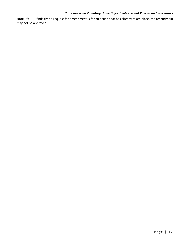**Note**: If OLTR finds that a request for amendment is for an action that has already taken place, the amendment may not be approved.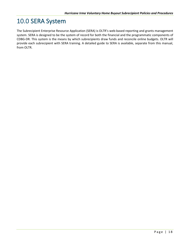# <span id="page-23-0"></span>10.0 SERA System

The Subrecipient Enterprise Resource Application (SERA) is OLTR's web-based reporting and grants management system. SERA is designed to be the system of record for both the financial and the programmatic components of CDBG-DR. This system is the means by which subrecipients draw funds and reconcile online budgets. OLTR will provide each subrecipient with SERA training. A detailed guide to SERA is available, separate from this manual, from OLTR.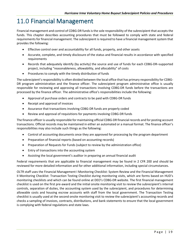# <span id="page-24-0"></span>11.0 Financial Management

Financial management and control of CDBG-DR funds is the sole responsibility of the subrecipient that accepts the funds. This chapter describes accounting procedures that must be followed to comply with state and federal requirements for financial management. The subrecipient is required to have a financial management system that provides the following:

- Effective control over and accountability for all funds, property, and other assets
- Accurate, complete, and timely disclosure of the status and financial results in accordance with specified requirements
- Records that adequately identify (by activity) the source and use of funds for each CDBG-DR–supported project, including "reasonableness, allowability, and allocability" of costs
- Procedures to comply with the timely distribution of funds

The subrecipient's responsibility is often divided between the local office that has primary responsibility for CDBG-DR program administration and the finance officer. The subrecipient program administrative office is usually responsible for reviewing and approving all transactions involving CDBG-DR funds before the transactions are processed by the finance officer. The administrative office's responsibilities include the following:

- Approval of purchase orders and contracts to be paid with CDBG-DR funds
- Receipt and approval of invoices
- Assurance that transactions involving CDBG-DR funds are properly coded
- Review and approval of requisitions for payments involving CDBG-DR funds

The finance officer is usually responsible for maintaining official CDBG-DR financial records and for posting account transactions. Official records may be maintained in either an automated or a manual format. The finance officer's responsibilities may also include such things as the following:

- Control of accounting documents once they are approved for processing by the program department
- Preparation of financial reports (based on accounting records)
- Preparation of Requests for Funds (subject to review by the administration office)
- Entry of transactions into the accounting system
- Assisting the local government's auditor in preparing an annual financial audit

Federal requirements that are applicable to financial management may be found in 2 CFR 200 and should be reviewed for more detailed information and for other additional information, including special circumstances.

OLTR staff uses the Financial Management I Monitoring Checklist: System Review and the Financial Management II Monitoring Checklist: Transaction Testing Checklist during monitoring visits, which are forms based on HUD's monitoring checklists and which can be found online at DEO's CDBG-DR website. The first financial management checklist is used on the first pre-award and the initial onsite monitoring visit to review the subrecipient's internal controls, separation of duties, the accounting system used by the subrecipient, and procedures for determining allowable costs and housing escrow accounts with staff from the local government. The Transaction Testing checklist is usually used at the second onsite monitoring visit to review the subrecipient's accounting records and checks a sampling of invoices, contracts, distributions, and bank statements to ensure that the local government is complying with federal regulations and state laws.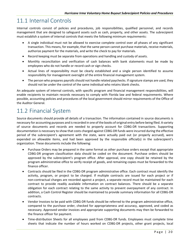# <span id="page-25-0"></span>11.1 Internal Controls

Internal controls consist of policies and procedures, job responsibilities, qualified personnel, and records management that are designed to safeguard assets such as cash, property, and other assets. The subrecipient must establish a system of internal controls that meets the following minimum requirements:

- A single individual must not be allowed to exercise complete control over all phases of any significant transaction. This means, for example, that the same person cannot purchase materials, receive materials, authorize payment for the materials, and write the check to pay for materials.
- Record keeping must be separate from operations and handling and custody of assets.
- Monthly reconciliation and verification of cash balances with bank statements must be made by employees who do not handle or record cash or sign checks.
- Actual lines of responsibility must be clearly established and a single person identified to assume responsibility for management oversight of the entire financial management system.
- The person who prepares payrolls should not handle related paychecks. If signature stamps are used, they should not be under the control of the same individual who retains blank checks.

An adequate system of internal controls, with specific program and financial management responsibilities, will enable recipients to maintain records necessary to comply with Florida law and federal requirements. Where possible, accounting policies and procedures of the local government should mirror requirements of the Office of the Auditor General.

# <span id="page-25-1"></span>11.2 Financial System

Source documents should provide all details of a transaction. The information contained in source documents is necessary for accounting purposes and is recorded in one of the books of original entry before being filed. A variety of source documents and records are needed to properly account for CDBG-DR transactions. Supporting documentation is necessary to show that costs charged against CDBG-DR funds were incurred during the effective period of the subrecipient's agreement with the state, were actually paid out (or properly accrued), were expended on allowable items, and had been approved by the responsible official(s) in the subrecipient's organization. These documents include the following:

- Purchase Orders may be prepared in the same format as other purchase orders except that appropriate CDBG-DR program classification data should be coded on the document. Purchase orders should be approved by the subrecipient's program office. After approval, one copy should be retained by the program administrative office to verify receipt of goods, and remaining copies must be forwarded to the finance officer.
- Contracts should be filed in the CDBG-DR program administrative office. Each contract must identify the activity, program, or project to be charged. If multiple contracts are issued for each project or if non-contractual charges are recorded against a project, a separate record must be maintained for each contract to provide readily available information on contract balances. There should be a separate obligation for each contract relating to the same activity to prevent overpayment of any contract. In addition, a Cash Control Register should be maintained to provide summary information for all CDBG-DR contracts.
- Vendor Invoices to be paid with CDBG-DR funds should be referred to the program administrative office, compared to the purchase order, checked for appropriateness and accuracy, approved, and coded as necessary. Approved vendor invoices and appropriate supporting documents may then be forwarded to the finance officer for payment.
- Time-distribution Sheets for all employees paid from CDBG-DR funds. Employees must complete time sheets that indicate the number of hours worked on CDBG-DR projects, other grant projects, local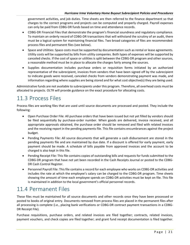#### *Hurricane Irma Voluntary Home Buyout Subrecipient Policies and Procedures*

government activities, and job duties. Time sheets are then referred to the finance department so that charges to the correct programs and projects can be computed and properly charged. Payroll expenses can only be paid from CDBG-DR funds based on time and attendance records.

- CDBG-DR Financial Files that demonstrate the program's financial soundness and regulatory compliance. To maintain an orderly record of CDBG-DR transactions that will withstand the scrutiny of an audit, there must be a logical system for maintaining financial files. Two broad categories of files are recommended: process files and permanent files (see below).
- Space and Utilities: Space costs must be supported by documentation such as rental or lease agreements. Utility costs will be supported by bills from utility companies. Both types of expenses will be supported by canceled checks. If the cost of space or utilities is split between the CDBG-DR program and other sources, a reasonable method must be in place to allocate the charges fairly among the sources.
- Supplies documentation includes purchase orders or requisition forms initiated by an authorized representative of the subrecipient, invoices from vendors that have been signed off by the subrecipient to indicate goods were received, canceled checks from vendors demonstrating payment was made, and information regarding where supplies are being stored and for what cost objective(s) they are being used.

Administrative funds are not available to subrecipients under this program. Therefore, all overhead costs must be allocated to projects. OLTR will provide guidance on the exact procedure for allocating costs.

#### <span id="page-26-0"></span>11.3 Process Files

Process files are working files that are used until source documents are processed and posted. They include the following:

- Open Purchase Order File: All purchase orders that have been issued but not yet filled by vendors should be filed sequentially by purchase-order number. When goods are delivered, invoice received, and all appropriate approvals obtained, the purchase order should be removed and filed with related invoices and the receiving report in the pending payments file. This file contains encumbrances against the project budget.
- Pending Payments File: All source documents that will generate a cash disbursement are stored in the pending payments file and are maintained by due date. If a discount is offered for early payment, early payment should be made. A schedule of bills payable from approved invoices and the account to be charged is also kept in this file.
- Pending Receipt File: This file contains copies of outstanding bills and requests for funds submitted to the CDBG-DR program that have not yet been recorded in the Cash Receipts Journal or posted to the CDBG-DR Cash Control Register.
- Personnel Payroll File: This file contains a record for each employee who works on CDBG-DR activities and includes the rate at which the employee's salary can be charged to the CDBG-DR program. Time sheets showing the amount of time each employee spends on CDBG-DR activities must be kept on file. This file is maintained in addition to the local government's official personnel records.

### <span id="page-26-1"></span>11.4 Permanent Files

These files must be maintained for all source documents and other records once they have been processed or posted to books of original entry. Documents removed from process files are placed in the permanent files after all processing is complete (i.e., placing bank verifications or CDBG-DR contract payment transactions in a CDBG-DR Receipt File).

Purchase requisitions, purchase orders, and related invoices are filed together; contracts, related invoices, payment vouchers, and check copies are filed together; and grant fund receipt documentation is filed together.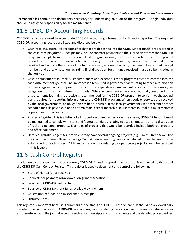Permanent files contain the documents necessary for undertaking an audit of the program. A single individual should be assigned responsibility for file maintenance.

### <span id="page-27-0"></span>11.5 CDBG-DR Accounting Records

CDBG-DR records are used to accumulate CDBG-DR accounting information for financial reporting. The required CDBG-DR accounting records are listed and discussed below.

- Cash-receipts Journal: All receipts of cash that are deposited into the CDBG-DR account(s) are recorded in the cash-receipts journal. Receipts may include contract payments to the subrecipient from the CDBG-DR program, receipts from the disposition of land, program income, and any other cash received. The general procedure for using this journal is to record every CDBG-DR receipt by date in the order that it was received and indicate the source of the funds received, account or activity line item to be credited, receipt number, and date. A notation regarding final disposition for all funds received must also be included in the journal.
- Cash-disbursements Journal: All encumbrances and expenditures for program costs are entered into the cash-disbursements journal. Encumbrance is a term used in government accounting to mean a reservation of funds against an appropriation for a future expenditure. An encumbrance is not necessarily an obligation; it is a commitment of funds. While encumbrances are not normally recorded in a disbursements journal, the practice is recommended for the CDBG-DR program to conform to the accrual basis required for reporting information to the CDBG-DR program. When goods or services are received by the local government, an obligation has been incurred. If the local government uses a warrant or other schedule for bills payable, it need not maintain a separate cash-disbursements journal but must maintain copies of individual warrants.
- Property Register: This is a listing of all property acquired in part or entirely using CDBG-DR funds. It must be maintained to comply with state and federal standards relating to acquisition, control, and disposition of real and personal property. Examples of property that would be recorded include both real property and office equipment.
- Detailed Activity Ledger: A subrecipient may have several ongoing projects (e.g., Smith Street sewer-line installation and Jones Street repaving). To maintain accounting control, a detailed project ledger must be established for each project. All financial transactions relating to a particular project should be recorded in this ledger.

# <span id="page-27-1"></span>11.6 Cash Control Register

In addition to the above control procedures, CDBG-DR financial reporting and control is enhanced by the use of the CDBG-DR Cash Control Register. This register is used to document and control the following:

- State of Florida funds received
- Requests for payment (drawdowns on grant reservation)
- Balance of CDBG-DR cash on hand
- Balance of CDBG-DR grant funds available by line item
- Collections, refunds, and miscellaneous receipts
- Disbursements

This register is important because it summarizes the status of CDBG-DR cash on hand. It should be reviewed daily to determine compliance with CDBG-DR rules and regulations relating to cash on hand. The register also serves as a cross-reference to the journal accounts such as cash receipts and disbursements and the detailed project ledger.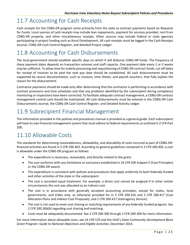# <span id="page-28-0"></span>11.7 Accounting for Cash Receipts

Cash receipts for the CDBG-DR program come primarily from the state as contract payments based on Requests for Funds. Local sources of cash receipts may include loan repayments, payment for services provided, rent from CDBG-DR property, and other miscellaneous receipts. Other sources may include federal or state agencies participating in project funding such as Rural Development. All cash receipts must be logged in the Cash Receipts Journal, CDBG-DR Cash Control Register, and detailed Project Ledger.

### <span id="page-28-1"></span>11.8 Accounting for Cash Disbursements

The local government should establish specific days on which it will disburse CDBG-DR funds. The frequency of these payment dates depends on transaction volumes and staff capacity. One payment date every 1 or 2 weeks may be sufficient. To allow time for orderly processing and requisitioning of CDBG-DR contract funds, cut-off dates for receipt of invoices to be paid the next pay date should be established. All cash disbursements must be supported by source documentation, such as invoices, time sheets, and payroll vouchers, that fully explain the reason for the disbursement.

Contractor payments should be made only after determining that the contractor is performing in accordance with contract provisions and time schedules and that any problems identified by the subrecipient during compliance monitoring or inspections have been corrected. To facilitate adequate contract management, a CDBG-DR contract management control card should be maintained. All cash disbursements must be entered in the CDBG-DR Cash Disbursements Journal, the CDBG-DR Cash Control Register, and Detailed Activity Ledger.

### <span id="page-28-2"></span>11.9 Subrecipient Financial Management

The information provided in this policies and procedures manual is provided as a general guide. Each subrecipient will have its own financial management system that must adhere to federal requirements as outlined in 2 CFR Part 200.

# <span id="page-28-3"></span>11.10 Allowable Costs

The standards for determining reasonableness, allowability, and allocability of costs incurred as part of CDBG-DRfinanced activities are found in 2 CFR 200.403. According to general guidelines contained in 2 CFR 200.403, a cost is allowable under the CDBG-DR program as follows:

- The expenditure is necessary, reasonable, and directly related to the grant.
- The cost conforms with any limitations or exclusions established in 24 CFR 200 Subpart E (Cost Principles) or the CDBG-DR award.
- The expenditure is consistent with policies and procedures that apply uniformly to both federally funded and other activities of the state or the subrecipient.
- The cost is accorded equal treatment. For example, a direct cost cannot be assigned if in other similar circumstances the cost was allocated as an indirect cost.
- The cost is in accordance with generally accepted accounting principles, except for states, local governments, and tribes only, as otherwise provided for in 2 CFR 200.416 and 2 CFR 200.417 (Cost Allocation Plans and Indirect Cost Proposals), and 2 CFR 200.417 (Interagency Service).
- The cost is not used to meet cost-sharing or matching requirements of any federally funded program. See 2 CFR 200.306(b) regarding cost sharing and matching.
- Costs must be adequately documented. See 2 CFR 200.300 through 2 CFR 200-309 for more information.

For more information about allowable costs, see 24 CFR 570 and the HUD's *State Community Development Block Grant Program: Guide to National Objectives and Eligible Activities*, December 2014.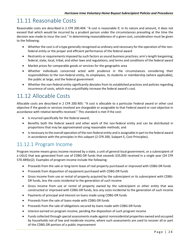# <span id="page-29-0"></span>11.11 Reasonable Costs

Reasonable costs are described in 2 CFR 200.404: "A cost is reasonable if, in its nature and amount, it does not exceed that which would be incurred by a prudent person under the circumstances prevailing at the time the decision was made to incur the cost." In determining reasonableness of a given cost, consideration must be given to the following:

- Whether the cost is of a type generally recognized as ordinary and necessary for the operation of the nonfederal entity or the proper and efficient performance of the federal award
- Restraints or requirements imposed by such factors as sound business practices; arm's-length bargaining; federal, state, local, tribal, and other laws and regulations; and terms and conditions of the federal award
- Market prices for comparable goods or services for the geographic area
- Whether individuals concerned acted with prudence in the circumstances considering their responsibilities to the non-federal entity, its employees, its students or membership (where applicable), the public at large, and the federal government
- Whether the non-federal entity significantly deviates from its established practices and policies regarding incurrence of costs, which may unjustifiably increase the federal award's cost.

### <span id="page-29-1"></span>11.12 Allocable Costs

Allocable costs are described in 2 CFR 200.405: "A cost is allocable to a particular Federal award or other cost objective if the goods or services involved are chargeable or assignable to that Federal award or cost objective in accordance with relative benefits received." This standard is met if the cost:

- Is incurred specifically for the federal award;
- Benefits both the federal award and other work of the non-federal entity and can be distributed in proportions that may be approximated using reasonable methods; and
- Is necessary to the overall operation of the non-federal entity and is assignable in part to the federal award in accordance with the principles in this subpart (2 CFR 200, Subpart E, Cost Principles).

#### <span id="page-29-2"></span>11.12.1 Program Income

Program income means gross income received by a state, a unit of general local government, or a subrecipient of a UGLG that was generated from use of CDBG-DR funds that exceeds \$35,000 received in a single year (24 CFR 570.489(e)2). Examples of program income include the following:

- Proceeds from the sale or long-term lease of real property purchased or improved with CDBG-DR funds
- Proceeds from disposition of equipment purchased with CDBG-DR funds
- Gross income from use or rental of property acquired by the subrecipient or its subrecipient with CDBG-DR funds, less the costs incidental to the generation of such income
- Gross income from use or rental of property owned by the subrecipient or other entity that was constructed or improved with CDBG-DR funds, less any costs incidental to the generation of such income
- Payments of principal and interest on loans made using CDBG-DR funds
- Proceeds from the sale of loans made with CDBG-DR funds
- Proceeds from the sale of obligations secured by loans made with CDBG-DR funds
- Interest earned on program income, pending the disposition of such program income
- Funds collected through special assessments made against nonresidential properties owned and occupied by households not of low and moderate income, where such assessments are used to recover all or part of the CDBG-DR portion of a public improvement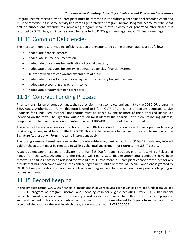#### *Hurricane Irma Voluntary Home Buyout Subrecipient Policies and Procedures*

Program income received by a subrecipient must be recorded in the subrecipient's financial records system and must be recorded in the same activity line item as generated the program income. Program income must be spent first on subsequent expenditures; remaining program income after closeout or generated after closeout is returned to OLTR. Program income should be reported to DEO's grant manager and OLTR finance manager.

### <span id="page-30-0"></span>11.13 Common Deficiencies

The most common record-keeping deficiencies that are encountered during program audits are as follows:

- Inadequate financial records
- Inadequate source documentation
- Inadequate procedures for verification of cost allowability
- Inadequate procedures for certifying operating agencies' financial systems
- Delays between drawdown and expenditure of funds
- Inadequate process to prevent overpayment of an activity budget line item
- Inadequate accounting of program income
- Inadequate or untimely financial reports

### <span id="page-30-1"></span>11.14 Contract Funding Process

Prior to transmission of contract funds, the subrecipient must complete and submit to the CDBG-DR program a SERA Access Authorization Form. This form is used to inform OLTR of the names of persons permitted to sign Requests for Funds. Requests for Funds forms must be signed by one or more of the authorized individuals identified on the form. The Signature Authorization must identify the financial institution, its mailing address, telephone number, and the account number to which CDBG-DR funds should be transmitted.

There cannot be any erasures or corrections on the SERA Access Authorization Form. Three copies, each having original signatures, must be submitted to OLTR. Should it be necessary to change or update information on the Signature Authorization Form, the same instructions apply.

The local government must use a separate non-interest-bearing bank account for CDBG-DR funds. Any interest paid on the account must be remitted to OLTR by the local government for return to the U.S. Treasury.

A subrecipient cannot expend or obligate more than \$15,000 for administration, prior to receiving a Release of Funds from the CDBG-DR program. The release will clearly state that environmental conditions have been removed and funds have been released for expenditure. Furthermore, a subrecipient cannot draw funds for any activity that has been conditioned in the contract agreement until a Removal of Special Conditions is granted by OLTR. Subrecipients should check their contract award agreement for special conditions prior to obligating or requesting funds.

# <span id="page-30-2"></span>11.15 Record Keeping

In the simplest terms, CDBG-DR financial transactions involve receiving cash (such as contract funds from OLTR's CDBG-DR program or program income) and spending cash for eligible activities. Every CDBG-DR financial transaction must be recorded in the accounting records as soon as possible. To do this, there must be appropriate source documents, files, and accounting records. Records must be maintained for 6 years from the date of the receipt of the audit for the year in which the grant was closed out (2 CFR 200.333).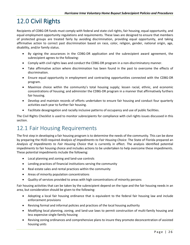# <span id="page-31-0"></span>12.0 Civil Rights

Recipients of CDBG-DR funds must comply with federal and state civil rights, fair housing, equal opportunity, and equal employment opportunity regulations and requirements. These laws are designed to ensure that members of protected groups are treated fairly by avoiding discrimination, providing equal opportunity, and taking affirmative action to correct past discrimination based on race, color, religion, gender, national origin, age, disability, and/or family status.

- By signing the assurances in the CDBG-DR application and the subrecipient award agreement, the subrecipient agrees to the following:
- Comply with civil rights laws and conduct the CDBG-DR program in a non-discriminatory manner.
- Take affirmative action where discrimination has been found in the past to overcome the effects of discrimination.
- Ensure equal opportunity in employment and contracting opportunities connected with the CDBG-DR program.
- Maximize choice within the community's total housing supply; lessen racial, ethnic, and economic concentrations of housing; and administer the CDBG-DR program in a manner that affirmatively furthers fair housing.
- Develop and maintain records of efforts undertaken to ensure fair housing and conduct four quarterly activities each year to further fair housing.
- Facilitate desegregation and racially inclusive patterns of occupancy and use of public facilities.

The Civil Rights Checklist is used to monitor subrecipients for compliance with civil rights issues discussed in this section.

# <span id="page-31-1"></span>12.1 Fair Housing Requirements

The first step in developing a fair housing program is to determine the needs of the community. This can be done by preparing the HUD-required *Analysis of Impediments to Fair Housing Choice*. The State of Florida prepared an *Analysis of Impediments to Fair Housing Choice* that is currently in effect. The analysis identified potential impediments to fair housing choice and includes actions to be undertaken to help overcome these impediments. These potential impediments include the following:

- Local planning and zoning and land-use controls
- Lending practices of financial institutions serving the community
- Real estate sales and rental practices within the community
- Areas of minority population concentrations
- Quality of services provided to areas with high concentrations of minority persons

Fair housing activities that can be taken by the subrecipient depend on the type and the fair housing needs in an area, but consideration should be given to the following:

- Adopting a local fair housing ordinance that is equivalent to the federal fair housing law and include enforcement provisions
- Revising formal and informal policies and practices of the local housing authority
- Modifying local planning, zoning, and land-use laws to permit construction of multi-family housing and less expensive single-family housing
- Revising zoning ordinances and comprehensive plans to insure they promote deconcentration of assisted housing units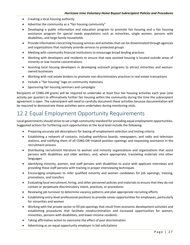- Creating a local housing authority
- Advertise the community as a "fair housing community"
- Developing a public information and education program to promote fair housing and a fair housing assistance program for special needs populations such as minorities, single women, persons with disabilities, and large family households
- Provide information concerning housing services and activities that can be disseminated through agencies and organizations that routinely provide services to protected groups
- Meeting with community financial institutions to encourage broad lending practices
- Working with developers and residents to ensure that new assisted housing is located outside areas of minority or low-income concentrations
- Assisting local housing developers in developing outreach programs to attract minorities and womanowned businesses
- Working with real estate brokers to promote non-discriminatory practices in real estate transactions
- Include a "fair housing" logo on community stationary
- Sponsoring fair housing seminars and campaigns

Recipients of CDBG-DR grants will be required to undertake at least four fair housing activities each year (one activity per quarter) to affirmatively further fair housing within the community during the time the subrecipient agreement is open. The subrecipient will need to carefully document these activities because documentation will be required to demonstrate these activities were undertaken during monitoring visits.

### <span id="page-32-0"></span>12.2 Equal Employment Opportunity Requirements

Local governments should strive to set a high community standard for providing equal employment opportunities. Suggested actions for furthering such opportunities at the local level include the following:

- Preparing accurate job descriptions for basing all employment-selection and testing criteria
- Establishing a network of contacts, including workforce boards, newspapers, and radio and television stations, and notifying them of all CDBG-DR–related position openings and requesting assistance in the recruitment process
- Distributing recruitment literature to women and minority organizations and organizations that assist persons with disabilities and older workers, and, where appropriate, translating materials into other languages
- Identifying minority, women, and staff persons with disabilities to assist with applicant interviews and providing these staff persons with training in proper interviewing techniques
- Encouraging employees to refer qualified minority and women candidates for job openings, training, promotions, and transfers
- Evaluating local recruitment, hiring, and other personnel policies and materials to ensure that they do not contain or perpetuate discriminatory intent, practices, or procedures
- Reviewing job turnover to determine vacancy patterns and plan appropriate recruiting efforts
- Establishing entry-level professional positions to provide career opportunities for employees, particularly for minorities and women
- Working with the private sector to fill job openings that result from economic development activities and establishing procedures that facilitate nondiscrimination and increased opportunities for women, minorities, persons with disabilities, and lower-income residents
- Taking affirmative action to overcome the effect of past discrimination
- Advertising as an equal opportunity employer in bid solicitations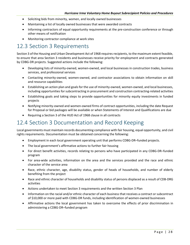- Soliciting bids from minority, women, and locally owned businesses
- Maintaining a list of locally owned businesses that were awarded contracts
- Informing contractors of equal opportunity requirements at the pre-construction conference or through other means of notification
- Monitoring contractor compliance at work sites

#### <span id="page-33-0"></span>12.3 Section 3 Requirements

Section 3 of the Housing and Urban Development Act of 1968 requires recipients, to the maximum extent feasible, to ensure that area Section 3 residents and businesses receive priority for employment and contracts generated by CDBG-DR projects. Suggested actions include the following:

- Developing lists of minority-owned, women-owned, and local businesses in construction trades, business services, and professional services
- Contacting minority-owned, women-owned, and contractor associations to obtain information on skill and resource capabilities
- Establishing an action plan and goals for the use of minority-owned, women-owned, and local businesses, including opportunities for subcontracting in procurement and construction contracting-related activities
- Establishing goals and taking steps to provide opportunities for minority equity investments in funded projects
- Notifying minority-owned and women-owned firms of contract opportunities, including the date Request for Proposal or bid packages will be available or when Statements of Interest and Qualifications are due
- Requiring a Section 3 of the HUD Act of 1968 clause in all contracts

#### <span id="page-33-1"></span>12.4 Section 3 Documentation and Record Keeping

Local governments must maintain records documenting compliance with fair housing, equal opportunity, and civil rights requirements. Documentation must be obtained concerning the following:

- Employment in each local government operating unit that performs CDBG-DR–funded projects.
- The local government's affirmative actions to further fair housing
- For direct benefit activities, records relating to persons who have participated in any CDBG-DR–funded program
- For area-wide activities, information on the area and the services provided and the race and ethnic character of the service area
- Race, ethnic character, age, disability status, gender of heads of households, and number of elderly benefiting from the project
- Race and ethnic character of households and disability status of persons displaced as a result of CDB-DRG activities
- Actions undertaken to meet Section 3 requirements and the written Section 3 Plan
- Information on the racial and/or ethnic character of each business that receives a contract or subcontract of \$10,000 or more paid with CDBG-DR funds, including identification of women-owned businesses
- Affirmative actions the local government has taken to overcome the effects of prior discrimination in administering a CDBG-DR–funded program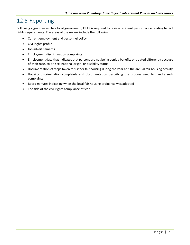# <span id="page-34-0"></span>12.5 Reporting

Following a grant award to a local government, OLTR is required to review recipient performance relating to civil rights requirements. The areas of the review include the following:

- Current employment and personnel policy
- Civil rights profile
- Job advertisements
- Employment discrimination complaints
- Employment data that indicates that persons are not being denied benefits or treated differently because of their race, color, sex, national origin, or disability status
- Documentation of steps taken to further fair housing during the year and the annual fair housing activity
- Housing discrimination complaints and documentation describing the process used to handle such complaints
- Board minutes indicating when the local fair housing ordinance was adopted
- The title of the civil rights compliance officer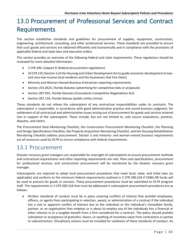# <span id="page-35-0"></span>13.0 Procurement of Professional Services and Contract Requirements

This section establishes standards and guidelines for procurement of supplies, equipment, construction, engineering, architectural, consulting, and other professional services. These standards are provided to ensure that such goods and services are obtained efficiently and economically and in compliance with the provisions of applicable federal and state laws and executive orders.

This section provides an overview of the following federal and state requirements. These regulations should be reviewed for more detailed information:

- 2 CFR 200, Subpart D (federal procurement regulations)
- 24 CFR 135 (Section 3 of the Housing and Urban Development Act to guide economic development to lowand very-low income local residents and the businesses that hire them)
- Minority and Woman-Owned Business Enterprises reporting requirements
- Section 255.0525, Florida Statutes (advertising for competitive bids or proposals)
- Section 287.055, Florida Statutes (Consultants Competitive Negotiations Act)
- Section 287.133, Florida Statues (public entity crimes)

These standards do not relieve the subrecipient of any contractual responsibilities under its contracts. The subrecipient is responsible, in accordance with good administrative practice and sound business judgment, for settlement of all contractual and administrative issues arising out of procurement for goods and services entered into in support of the subrecipient. These include, but are not limited to, sole source evaluations, protests, disputes, and claims.

The Procurement Desk Monitoring Checklist, the Construction Procurement Monitoring Checklist, the Planning and Design Specifications Checklist, the Property Acquisition Monitoring Checklist, and the Housing Rehabilitation Monitoring Checklist address procurement. Section 3 and minority- and woman-owned business requirements are all resources used by OLTR to ensure compliance with federal requirements.

#### <span id="page-35-1"></span>13.1 Procurement

Disaster recovery grant managers are responsible for oversight of subrecipients to ensure procurement methods and contractual requirements and other reporting requirements are met. Plans and specifications, procurement for professional services, and construction procurement will be monitored by the disaster recovery grant manager.

Subrecipients are required to adopt local procurement procedures that meet local, state, and tribal laws (as applicable) and conform to the minimum federal requirements outlined in 2 CFR 200.318 if CDBG-DR funds will be used to procure for goods or services. These procurement procedures must be submitted to OLTR program staff. The requirements in 2 CFR 200.318 that must be addressed in subrecipient procurement procedures are as follows:

• Written standards of conduct must be in place covering conflicts of interest that prohibit employees, officers, or agents from participating in selection, award, or administration of a contract if the individual has a real or apparent conflict of interest due to the individual or the individual's immediate family, partner, or an organization that employs or is about to employ any of the individuals has a financial or other interest in or a tangible benefit from a firm considered for a contract. The policy should prohibit solicitation or acceptance of gratuities, favors, or anything of monetary value from contractors or parties to subcontractors. Disciplinary actions must be included for violations of these standards of conduct. An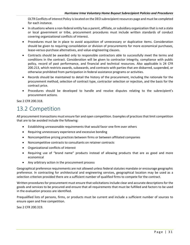OLTR Conflicts of interest Policy is located on the DEO subrecipient resources page and must be completed for each instance.

- In situations where a non-federal entity has a parent, affiliate, or subsidiary organization that is not a state or local government or tribe, procurement procedures must include written standards of conduct covering organizational conflicts of interest.
- Procedures must be in place to avoid acquisition of unnecessary or duplicative items. Consideration should be given to requiring consolidation or division of procurements for more economical purchases, lease-versus-purchase alternatives, and value-engineering clauses.
- Contracts should be awarded only to responsible contractors able to successfully meet the terms and conditions in the contract. Consideration will be given to contractor integrity, compliance with public policy, record of past performance, and financial and technical resources. Also applicable is 24 CFR 200.213, which restricts awards, subawards, and contracts with parties that are disbarred, suspended, or otherwise prohibited from participation in federal assistance programs or activities.
- Records should be maintained to detail the history of the procurement, including the rationale for the procurement method, selection of contract type, contractor selection or rejection, and the basis for the contract price.
- Procedures should be developed to handle and resolve disputes relating to the subrecipient's procurement actions.

See 2 CFR 200.318.

#### <span id="page-36-0"></span>13.2 Competition

All procurement transactions must ensure fair and open competition. Examples of practices that limit competition that are to be avoided include the following:

- Establishing unreasonable requirements that would favor one firm over others
- Requiring unnecessary experience and excessive bonding
- Noncompetitive pricing practices between firms or between affiliated companies
- Noncompetitive contracts to consultants on retainer contracts
- Organizational conflicts of interest
- Requiring use of "brand name" products instead of allowing products that are as good and more economical
- Any arbitrary action in the procurement process

Geographical preference requirements are not allowed unless federal statutes mandate or encourage geographic preference. In contracting for architectural and engineering services, geographical location may be used as a selection criterion provided there are a sufficient number of qualified firms to compete for the contract.

Written procedures for procurement must ensure that solicitations include clear and accurate descriptions for the goods and services to be procured and ensure that all requirements that must be fulfilled and factors to be used in the evaluation process are identified.

Prequalified lists of persons, firms, or products must be current and include a sufficient number of sources to ensure open and free competition.

See 2 CFR 200.319.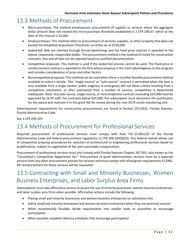#### <span id="page-37-0"></span>13.3 Methods of Procurement

- Micro-purchases: This method encompasses procurement of supplies or services where the aggregate dollar amount does not exceed the micro-purchase threshold established in 2 CFR 200.67, which at the date of this manual is \$3,000.
- Small purchases: This method refers to procurement of services, supplies, or other property that does not exceed the Simplified Acquisition Threshold, currently set at \$150,000.
- Sealed bid: Bids are solicited through formal advertising, and the fixed price contract is awarded to the lowest, responsive, responsible bidder. This procurement method is the method of choice for construction contracts. Any and all bids can be rejected based on justified documentation.
- Competitive proposals: This method is used if the sealed bid process cannot be used. The fixed price or reimbursement contract is awarded to the firm whose proposal is the most advantageous to the program and includes consideration of price and other factors.
- Noncompetitive proposals: This method can be used when there is no other feasible procurement method available to select a vendor. This "single-source" or "sole-source" contract is permitted when the item is only available from a single vendor; public exigency or emergency will not allow a delay resulting from a competitive solicitation; or after solicitation from a number of sources, competition is determined inadequate. Note: Any sole-source, single-source, or noncompetitive contract exceeding \$25,000 must be approved by OLTR staff. For contracts below \$25,000, the subrecipient must document the justification for the award and maintain it in the grant file for review during the next OLTR onsite monitoring visit.

Advertisement requirements for construction procurements are found in Section 255.0525, Florida Statutes, Florida Administrative Code.

See 2 CFR 200.320.

#### <span id="page-37-1"></span>13.4 Methods of Procurement for Professional Services

Required procurement of professional services must comply with Rule 73C-23.0051(3) of the Florida Administrative Code and federal procurement regulations (2 CFR 200.320(d)(5)). This federal statute allows use of competitive proposal procedures for selection of architectural or engineering professional services based on qualifications, subject to negotiation of fair and reasonable compensation.

Procurement of professional services must also comply with Florida Statutes Chapter 287.055, also known as the "Consultant's Competitive Negotiation Act." Procurement of grant administration services must be a separate process from any other procurement process for services and must comply with all program requirements if CDBG-DR reimbursement for these services will be requested.

# <span id="page-37-2"></span>13.5 Contracting with Small and Minority Businesses, Women Business Enterprises, and Labor Surplus Area Firms

Subrecipients must take affirmative actions to assure the use of minority businesses, women business enterprises, and labor surplus area firms when possible. Affirmative actions include the following:

- Placing small and minority businesses and women-business enterprises on solicitation lists
- Solicit small and minority businesses and women-business enterprises when they are potential sources
- When economically feasible, divide requirements into smaller tasks or quantities to encourage participation
- When possible, establish delivery schedules that encourage participation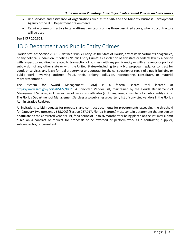- Use services and assistance of organizations such as the SBA and the Minority Business Development Agency of the U.S. Department of Commerce
- Require prime contractors to take affirmative steps, such as those described above, when subcontractors will be used

See 2 CFR 200.321.

### <span id="page-38-0"></span>13.6 Debarment and Public Entity Crimes

Florida Statutes Section 287.133 defines "Public Entity" as the State of Florida, any of its departments or agencies, or any political subdivision. It defines "Public Entity Crime" as a violation of any state or federal law by a person with respect to and directly related to transaction of business with any public entity or with an agency or political subdivision of any other state or with the United States—including to any bid, proposal, reply, or contract for goods or services; any lease for real property; or any contract for the construction or repair of a public building or public work—involving antitrust, fraud, theft, bribery, collusion, racketeering, conspiracy, or material misrepresentation.

The System for Award Management (SAM) is a federal search tool located at [https://www.sam.gov/portal/SAM/##11.](https://www.sam.gov/portal/SAM/) A Convicted Vendor List, maintained by the Florida Department of Management Services, includes names of persons or affiliates (including firms) convicted of a public entity crime. The Florida Department of Management Services also publishes a quarterly list of convicted vendors in the Florida Administrative Register.

All invitations to bid, requests for proposals, and contract documents for procurements exceeding the threshold for Category Two (presently \$35,000) (Section 287.017, Florida Statutes) must contain a statement that no person or affiliate on the Convicted Vendors List, for a period of up to 36 months after being placed on the list, may submit a bid on a contract or request for proposals or be awarded or perform work as a contractor, supplier, subcontractor, or consultant.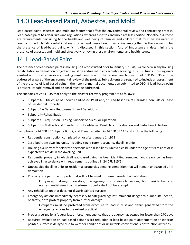# <span id="page-39-0"></span>14.0 Lead-based Paint, Asbestos, and Mold

Lead-based paint, asbestos, and mold are factors that affect the environmental review and contracting process. Lead-based paint has clear rules and regulations, whereas asbestos and mold are less codified. Nonetheless, these are requirements pertaining to the health and well-being of families and children that must be evaluated in conjunction with building rehabilitation or repair and demolition projects. Key among them is the evaluation for the presence of lead-based paint, which is discussed in this section. Also of importance is determining the presence of asbestos and mold and effectively removing these environmental and health issues.

#### <span id="page-39-1"></span>14.1 Lead-Based Paint

The presence of lead-based paint in housing units constructed prior to January 1, 1978, is a concern in any housing rehabilitation or demolition project and must be addressed in any activity receiving CDBG-DR funds. Housing units assisted with disaster recovery funding must comply with the federal regulations in 24 CFR Part 35 and be addressed as part of the environmental review of the project. Subrecipients are required to include an assessment of the presence of lead-based paint in their environmental documentation submitted to DEO. If lead-based paint is present, its safe removal and disposal must be addressed.

The subparts of 24 CFR 35 that apply to the disaster recovery program are as follows:

- Subpart A—Disclosure of Known Lead-based Paint and/or Lead-based Paint Hazards Upon Sale or Lease of Residential Property
- Subpart B—General Requirements and Definitions
- Subpart J—Rehabilitation
- Subpart K—Acquisition, Leasing, Support Services, or Operation
- Subpart R—Methods and Standards for Lead-based Paint Hazard Evaluation and Reduction Activities

Exemptions to 24 CFR 35 Subparts B, L, K, and R are described in 24 CFR 35.115 and include the following:

- Residential construction completed on or after January 1, 1978
- Zero-bedroom dwelling units, including single-room-occupancy dwelling units
- Housing exclusively for elderly or persons with disabilities, unless a child under the age of six resides or is expected to reside in the dwelling unit
- Residential property in which all lead-based paint has been identified, removed, and clearance has been achieved in accordance with requirements outlined in 24 CFR 115(5)
- Unoccupied dwelling units or residential properties pending demolition that will remain unoccupied until demolition
- Property or a part of a property that will not be used for human residential habitation
	- o Entryways, hallways, corridors, passageways, or stairwells serving both residential and nonresidential uses in a mixed-use property shall not be exempt.
- Any rehabilitation that does not disturb painted surfaces
- Emergency actions immediately necessary to safeguard against imminent danger to human life, health, or safety, or to protect property from further damage
	- $\circ$  Occupants must be protected from exposure to lead in dust and debris generated from the emergency actions to the extent practical.
- Property seized by a federal law enforcement agency that the agency has owned for fewer than 270 days
- Required evaluation or lead-based paint hazard reduction or lead-based paint abatement on an exterior painted surface is delayed due to weather conditions or unsuitable conventional construction activities.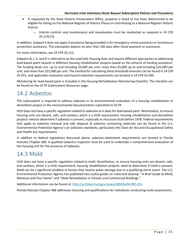- If requested by the State Historic Preservation Office, property is listed or has been determined to be eligible for listing on the National Register of Historic Places or contributing to a National Register Historic District
	- $\circ$  Interim controls and maintenance and reevaluation must be conducted as required in 24 CFR 35.115(13).

In addition, Subpart K does not apply if assistance being provided is for emergency rental assistance or foreclosure prevention assistance. This exemption expires no later than 100 days after initial payment or assistance.

For more information, see 24 CFR 35.115.

Subparts B, J, K, and R is referred to as the Lead Safe Housing Rule and require different approaches to addressing lead-based paint hazards in different housing rehabilitation projects based on the amount of funding assistance. The funding levels are: up to and including \$5,000 per unit; more than \$5,000 up to and including \$25,000 per unit; and more than \$25,000 per unit. The method for calculating these threshold amounts can be found in 24 CFR 35.915, and applicable evaluation and hazard reduction requirements are located in 24 CFR 35.930.

Monitoring for lead-based paint is included in the Housing Rehabilitation Monitoring Checklist. The checklist can be found on the OLTR Subrecipient Resources page.

#### <span id="page-40-0"></span>14.2 Asbestos

The subrecipient is required to address asbestos in its environmental evaluation of a housing rehabilitation or demolition project in the environmental documentation submitted to OLTR.

HUD does not have a specific regulation related to asbestos as it does for lead-based paint. Nonetheless, to ensure housing units are decent, safe, and sanitary, which is a HUD requirement, housing rehabilitation and demolition projects need to determine if asbestos is present, especially in structures built before 1978. Federal requirements that apply to asbestos removal and safe disposal of asbestos containing materials can be found in the U.S. Environmental Protection Agency's air pollution standards, particularly the Clean Air Act and Occupational Safety and Health Act requirements.

In addition to federal regulations discussed above, asbestos-abatement requirements are located in Florida Statutes Chapter 469. A qualified asbestos inspector must be used to undertake a comprehensive evaluation of the housing unit for the presence of asbestos.

### <span id="page-40-1"></span>14.3 Mold

HUD does not have a specific regulation related to mold. Nonetheless, to ensure housing units are decent, safe, and sanitary, which is a HUD requirement, housing rehabilitation projects need to determine if mold is present. Mold can be a significant problem in homes that receive water damage due to a qualifying storm event. The U.S. Environmental Protection Agency has published two useful guides on mold and cleanup: "A Brief Guide to Mold, Moisture and Your Home" and "Mold Remediation in Schools and Commercial Buildings."

Additional information can be found at[: http://archives.hud.gov/news/2004/pr04-087.cfm](http://archives.hud.gov/news/2004/pr04-087.cfm)

Florida Statutes Chapter 468 addresses licensing and qualifications for individuals conducting mold assessments.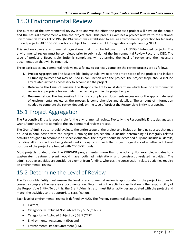# <span id="page-41-0"></span>15.0 Environmental Review

The purpose of the environmental review is to analyze the effect the proposed project will have on the people and the natural environment within the project area. This process examines a project relative to the National Environmental Policy Act of 1969 (NEPA), which was established to ensure environmental protection for federally funded projects. All CDBG-DR funds are subject to provisions of HUD regulations implementing NEPA.

This section covers environmental regulations that must be followed on all CDBG-DR–funded projects. The environmental review must be completed prior to submission of the Environmental Review Record to DEO. The type of project a Responsible Entity is completing will determine the level of review and the necessary documentation that will be required.

Three basic steps environmental reviews must follow to correctly complete the review process are as follows:

- 4. **Project Aggregation**: The Responsible Entity should evaluate the entire scope of the project and include all funding sources that may be used in conjunction with the project. The project scope should include any related activities necessary to accomplish the project.
- 5. **Determine the Level of Review**: The Responsible Entity must determine which level of environmental review is appropriate for each identified activity within the project scope.
- 6. **Documentation**: The Responsible Entity must complete all documents necessary for the appropriate level of environmental review as the process is comprehensive and detailed. The amount of information needed to complete the review depends on the type of project the Responsible Entity is proposing.

# <span id="page-41-1"></span>15.1 Project Aggregation

The Responsible Entity is responsible for the environmental review. Typically, the Responsible Entity designates a Grant Administrator to complete the environmental review process.

The Grant Administrator should evaluate the entire scope of the project and include all funding sources that may be used in conjunction with the project. Defining the project should include determining all integrally related activities designed to accomplish a specific objective. The project should be described fully and include all details, including all infrastructure being developed in conjunction with the project, regardless of whether additional portions of the project are funded with CDBG-DR funds.

Most projects funded under the CDBG-DR program entail more than one activity. For example, updates to a wastewater treatment plant would have both administration- and construction-related activities. The administrative activities are considered exempt from funding, whereas the construction-related activities require an environmental review.

### <span id="page-41-2"></span>15.2 Determine the Level of Review

The Responsible Entity must ensure the level of environmental review is appropriate for the project in order to correctly complete the necessary documentation. Determining the activity classification is the responsibility of the Responsible Entity. To do this, the Grant Administrator must list all activities associated with the project and match the activities to the appropriate classification.

Each level of environmental review is defined by HUD. The five environmental classifications are:

- Exempt;
- Categorically Excluded Not Subject to § 58.5 (CENST);
- Categorically Excluded Subject to § 58.5 (CEST);
- Environmental Assessment (EA); and
- Environmental Impact Statement (EIS).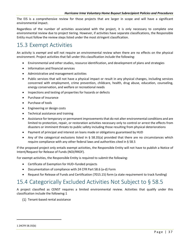The EIS is a comprehensive review for those projects that are larger in scope and will have a significant environmental impact.

Regardless of the number of activities associated with the project, it is only necessary to complete one environmental review due to project tiering. However, if activities have separate classifications, the Responsible Entity must follow the review steps listed under the most stringent classification.

### <span id="page-42-0"></span>15.3 Exempt Activities

An activity is *exempt* and will not require an environmental review when there are no effects on the physical environment. Project activities that fall under this classification include the following:

- Environmental and other studies, resource identification, and development of plans and strategies
- Information and financial services
- Administrative and management activities
- Public services that will not have a physical impact or result in any physical changes, including services concerned with employment, crime prevention, childcare, health, drug abuse, education, counseling, energy conservation, and welfare or recreational needs
- Inspections and testing of properties for hazards or defects
- Purchase of insurance
- Purchase of tools
- Engineering or design costs
- Technical assistance and training
- Assistance for temporary or permanent improvements that do not alter environmental conditions and are limited to protection, repair, or restoration activities necessary only to control or arrest the effects from disasters or imminent threats to public safety including those resulting from physical deteriorations
- Payment of principal and interest on loans made or obligations guaranteed by HUD
- Any of the categorical exclusions listed in § 58.35(a) provided that there are no circumstances which require compliance with any other federal laws and authorities cited in § 58.5

If the proposed project only entails exempt activities, the Responsible Entity will not have to publish a Notice of Intent/Request for Release of Funds (NOI/RROF).

For exempt activities, the Responsible Entity is required to submit the following:

- Certificate of Exemption for HUD–funded projects
- Documentation of compliance with 24 CFR Part 58.6 (a-d) Form
- Request for Release of Funds and Certification (7015.15) form (a state requirement to track funding)

#### <span id="page-42-1"></span>15.4 Categorically Excluded Activities Not Subject to § 58.5

A project classified as CENST requires a limited environmental review. Activities that qualify under this classification include the following:[1](#page-42-2)

<span id="page-42-2"></span>(1) Tenant-based rental assistance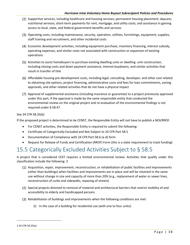- (2) Supportive services, including healthcare and housing services; permanent housing placement; daycare; nutritional services; short-term payments for rent, mortgage, and utility costs; and assistance in gaining access to local, state, and federal government benefits and services
- Operating costs, including maintenance, security, operation, utilities, furnishings, equipment, supplies, staff training and recruitment, and other incidental costs
- Economic development activities, including equipment purchase, inventory financing, interest subsidy, operating expenses, and similar costs not associated with construction or expansion of existing operations
- (5) Activities to assist homebuyers to purchase existing dwelling units or dwelling -unit construction, including closing costs and down payment assistance, interest buydowns, and similar activities that result in transfer of title
- Affordable housing pre-development costs, including legal, consulting, developer, and other cost related to obtaining site options, project financing, administrative costs and fees for loan commitments, zoning approvals, and other related activities that do not have a physical impact
- Approval of supplemental assistance (including insurance or guarantee) to a project previously approved under this part, if the approval is made by the same responsible entity that conducted the environmental review on the original project and re-evaluation of the environmental findings is not required under § 58.47.

#### See 24 CFR 58.35(b)

If the proposed project is determined to be CENST, the Responsible Entity will not have to publish a NOI/RROF.

- For CENST activities, the Responsible Entity is required to submit the following:
- Certificate of Categorically Excluded and Not Subject to 24 CFR Part 58.5
- Documentation of Compliance with 24 CFR Part 58.6 (a-d) form
- Request for Release of Funds and Certification (RROF) Form (this is a state requirement to track funding)

# <span id="page-43-0"></span>15.5 Categorically Excluded Activities Subject to § 58.5

A project that is considered CEST requires a limited environmental review. Activities that qualify under this classification include the following: [2](#page-43-1)

- Acquisition, repair, improvement, reconstruction, or rehabilitation of public facilities and improvements (other than buildings) when facilities and improvements are in place and will be retained in the same use without change in size and capacity of more than 20% (e.g., replacement of water or sewer lines, reconstruction of curbs and sidewalks, repaving of streets)
- (2) Special projects directed to removal of material and architectural barriers that restrict mobility of and accessibility to elderly and handicapped persons
- (3) Rehabilitation of buildings and improvements when the following conditions are met:
	- (i) In the case of a building for residential use (with one to four units):

<span id="page-43-1"></span><sup>2</sup> 24 CFR 58.35(a)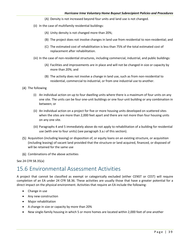- (A) Density is not increased beyond four units and land use is not changed.
- (ii) In the case of multifamily residential buildings:
	- (A) Unity density is not changed more than 20%;
	- (B) The project does not involve changes in land use from residential to non-residential; and
	- (C) The estimated cost of rehabilitation is less than 75% of the total estimated cost of replacement after rehabilitation.
- (iii) In the case of non-residential structures, including commercial, industrial, and public buildings:
	- (A) Facilities and improvements are in place and will not be changed in size or capacity by more than 20%; and
	- (B) The activity does not involve a change in land use, such as from non-residential to residential, commercial to industrial, or from one industrial use to another.
- (4) The following
	- (i) An individual action on up to four dwelling units where there is a maximum of four units on any one site. The units can be four one-unit buildings or one four-unit building or any combination in between; or
	- (ii) An individual action on a project for five or more housing units developed on scattered sites when the sites are more than 2,000 feet apart and there are not more than four housing units on any one site.
	- (iii) Paragraphs 4 and 5 immediately above do not apply to rehabilitation of a building for residential use (with one to four units) (see paragraph 3.a.i of this section).
- Acquisition (including leasing) or disposition of, or equity loans on an existing structure, or acquisition (including leasing) of vacant land provided that the structure or land acquired, financed, or disposed of will be retained for the same use
- (6) Combinations of the above activities

See 24 CFR 58.35(a)

#### <span id="page-44-0"></span>15.6 Environmental Assessment Activities

A project that cannot be classified as exempt or categorically excluded (either CENST or CEST) will require completion of an EA under 24 CFR 58.36. These activities are usually those that have a greater potential for a direct impact on the physical environment. Activities that require an EA include the following:

- Change in use
- Any new construction
- Major rehabilitation
- A change in size or capacity by more than 20%
- New single-family housing in which 5 or more homes are located within 2,000 feet of one another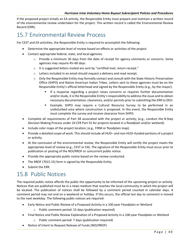If the proposed project entails an EA activity, the Responsible Entity must prepare and maintain a written record of the environmental review undertaken for the project. This written record is called the Environmental Review Record (ERR).

#### <span id="page-45-0"></span>15.7 Environmental Review Process

For CEST and EA activities, the Responsible Entity is required to accomplish the following:

- Determine the appropriate level of review based on effects or activities of the project.
- Contact appropriate federal, state, and local agencies.
	- $\circ$  Provide a minimum 30 days from the date of receipt for agency comments or concerns. Some agencies may require 45–60 days.
	- o It is suggested letters mailed are sent by "certified mail, return receipt."
	- o Letters included in an email should request a delivery and read receipt.
	- $\circ$  Only the Responsible Entity may formally contact and consult with the State Historic Preservation Office (SHPO) and Native American Indian Tribes. Letters sent to these agencies must be on the Responsible Entity's official letterhead and signed by the Responsible Entity (e.g., by the mayor).
		- If a response regarding a project raises concerns or requires further documentation and/or study, it is the Responsible Entity's responsibility to address the issue and to obtain necessary documentation, clearances, and/or permits prior to submitting the ERR to DEO.
		- Example: SHPO may require a Cultural Resource Survey to be performed in an undisturbed area where construction is proposed. In this event, the Responsible Entity must complete the survey and receive clearance from SHPO.
- Complete all requirements of Part 58 associated with the project or activity; (e.g., conduct the 8-Step Decision Making Process under 24 CFR Part 55 for projects located in a floodplain and/or wetland).
- Include color maps of the project location; (e.g., FIRM or floodplain map).
- Provide a detailed scope of work. This should include all HUD– and non-HUD–funded portions of a project or activity.
- At the conclusion of the environmental review, the Responsible Entity will certify the project meets the appropriate level of review (e.g., CEST or EA). The signature of the Responsible Entity must occur prior to publication or posting of the NOI/RROF or concurrent public notice.
- Provide the appropriate public notice based on the review conducted.
- The RROF (7015.15) form is signed by the Responsible Entity.
- <span id="page-45-1"></span>• Submit the ERR.

#### 15.8 Public Notices

The required public notice affords the public the opportunity to be informed of the upcoming project or activity. Notices that are published must be in a news medium that reaches the local community in which the project will be located. The publication of notices shall be followed by a comment period counted in calendar days. A comment period may not end on a weekend or holiday. If this occurs, the official last day to comment is moved to the next weekday. The following public notices are required:

- Early Notice and Public Review of a Proposed Activity in a 100-year Floodplain or Wetland
	- o Public comment period: 15 days (publication required)
- Final Notice and Public Review Explanation of a Proposed Activity in a 100-year Floodplain or Wetland
	- o Public comment period: 7 days (publication required)
- Notice of Intent to Request Release of Funds (NOI/RROF)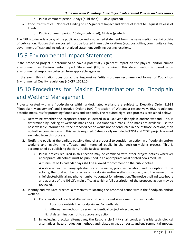- o Public comment period: 7 days (published); 10 days (posted)
- Concurrent Notice Notice of Finding of No Significant Impact and Notice of Intent to Request Release of Funds
	- o Public comment period: 15 days (published); 18 days (posted)

The ERR is to include a copy of the public notice and a notarized statement from the news medium verifying date of publication. Notices that are posted must be located in multiple locations (e.g., post office, community center, government offices) and include a notarized statement verifying posting locations.

#### <span id="page-46-0"></span>15.9 Environmental Impact Statement

If the proposed project is determined to have a potentially significant impact on the physical and/or human environment, an Environmental Impact Statement (EIS) is required. This determination is based upon environmental responses collected from applicable agencies.

In the event this situation does occur, the Responsible Entity must use recommended format of Council on Environmental Quality regulations (40 CFR 1502.10).

# <span id="page-46-1"></span>15.10 Procedures for Making Determinations on Floodplain and Wetland Management

Projects located within a floodplain or within a designated wetland are subject to Executive Order 11988 (Floodplain Management) and Executive Order 11990 (Protection of Wetlands) respectively. HUD regulations describe measures for protecting floodplains and wetlands. The required eight-step process is explained below:

- 1. Determine whether the proposed action is located in a 100-year floodplain and/or wetland. This is determined by looking at wetlands maps and FEMA floodplain maps. If no maps are available, use the best available information. If the proposed action would not be conducted in one of those locations, then no further compliance with this part is required. Categorically excluded (CENST and CEST) projects are not excluded from this process.
- 2. Notify the public at the earliest possible time of a proposal to consider an action in a floodplain and/or wetland and involve the affected and interested public in the decision-making process. This is accomplished by publishing the Early Public Review Notice.
	- A. Public notices required in this section may be combined with other project notices wherever appropriate. All notices must be published in an appropriate local printed news medium.
	- B. A minimum of 15 calendar days shall be allowed for comment on the public notice.
	- C. A notice under this paragraph shall state the name, proposed location, and description of the activity; the total number of acres of floodplain and/or wetlands involved; and the name of the chief elected official and phone number to contact for information. The notice shall indicate hours and address of the UGLG's main office at which a full description of the proposed action may be reviewed.
- 3. Identify and evaluate practical alternatives to locating the proposed action within the floodplain and/or wetland.
	- A. Consideration of practical alternatives to the proposed site or method may include:
		- i. Locations outside the floodplain and/or wetlands;
		- ii. Alternative methods to serve the identical project objective; and
		- iii. A determination not to approve any action.
	- B. In reviewing practical alternatives, the Responsible Entity shall consider feasible technological alternatives, hazard-reduction methods and related mitigation costs, and environmental impacts.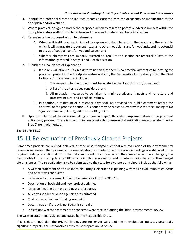- 4. Identify the potential direct and indirect impacts associated with the occupancy or modification of the floodplain and/or wetland.
- 5. Where practical, design or modify the proposed action to minimize potential adverse impacts within the floodplain and/or wetland and to restore and preserve its natural and beneficial values.
- 6. Re-evaluate the proposed action to determine:
	- A. Whether it is still practical in light of its exposure to flood hazards in the floodplain, the extent to which it will aggravate the current hazards to other floodplains and/or wetlands, and its potential to disrupt floodplain and/or wetland values; and
	- B. Whether alternatives preliminarily rejected at Step 3 of this section are practical in light of the information gathered in Steps 4 and 5 of this section.
- 7. Publish the Final Notice of Explanation.
	- A. If the re-evaluation results in a determination that there is no practical alternative to locating the proposed project in the floodplain and/or wetland, the Responsible Entity shall publish the Final Notice of Explanation that includes:
		- i. The reasons why the project must be located in the floodplain and/or wetland;
		- ii. A list of the alternatives considered; and
		- iii. All mitigation measures to be taken to minimize adverse impacts and to restore and preserve natural and beneficial values.
	- B. In addition, a minimum of 7 calendar days shall be provided for public comment before the approval of the proposed action. This notice may be run concurrent with either the Finding of No Significant Impact (FONSI)/RROF or the NOI/RROF.
- 8. Upon completion of the decision-making process in Steps 1 through 7, implementation of the proposed action may proceed. There is a continuing responsibility to ensure that mitigating measures identified in Step 7 are implemented.

See 24 CFR 55.20.

### <span id="page-47-0"></span>15.11 Re-evaluation of Previously Cleared Projects

Sometimes projects are revised, delayed, or otherwise changed such that a re-evaluation of the environmental review is necessary. The purpose of the re-evaluation is to determine if the original findings are still valid. If the original findings are still valid but the data and conditions upon which they were based have changed, the Responsible Entity must update its ERR by including this re-evaluation and its determination based on the changed circumstances. The re-evaluation is to be submitted to the state for clearance and should include the following:

- A written statement on the Responsible Entity's letterhead explaining why the re-evaluation must occur and how it was conducted
- Reference to the original ERR and the issuance of funds (7015.16)
- Description of both old and new project activities
- Maps delineating both old and new project areas
- All correspondence when agencies are contacted
- Cost of the project and funding source(s)
- Determination if the original FONSI is still valid
- Indications whether comments or concerns were received during the initial environmental review

The written statement is signed and dated by the Responsible Entity.

If it is determined that the original findings are no longer valid and the re-evaluation indicates potentially significant impacts, the Responsible Entity must prepare an EA or EIS.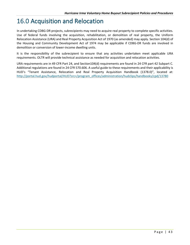# <span id="page-48-0"></span>16.0 Acquisition and Relocation

In undertaking CDBG-DR projects, subrecipients may need to acquire real property to complete specific activities. Use of federal funds involving the acquisition, rehabilitation, or demolition of real property, the Uniform Relocation Assistance (URA) and Real Property Acquisition Act of 1970 (as amended) may apply. Section 104(d) of the Housing and Community Development Act of 1974 may be applicable if CDBG-DR funds are involved in demolition or conversion of lower-income dwelling units.

It is the responsibility of the subrecipient to ensure that any activities undertaken meet applicable URA requirements. OLTR will provide technical assistance as needed for acquisition and relocation activities.

URA requirements are in 49 CFR Part 24, and Section104(d) requirements are found in 24 CFR part 42 Subpart C. Additional regulations are found in 24 CFR 570.606. A useful guide to these requirements and their applicability is HUD's "Tenant Assistance, Relocation and Real Property Acquisition Handbook (1378.0)", located at: [http://portal.hud.gov/hudportal/HUD?src=/program\\_offices/administration/hudclips/handbooks/cpd/13780](http://portal.hud.gov/hudportal/HUD?src=/program_offices/administration/hudclips/handbooks/cpd/13780)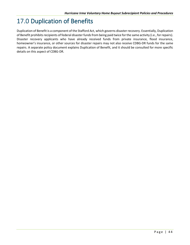# <span id="page-49-0"></span>17.0 Duplication of Benefits

Duplication of Benefit is a component of the Stafford Act, which governs disaster recovery. Essentially, Duplication of Benefit prohibits recipients of federal disaster funds from being paid twice for the same activity (i.e., for repairs). Disaster recovery applicants who have already received funds from private insurance, flood insurance, homeowner's insurance, or other sources for disaster repairs may not also receive CDBG-DR funds for the same repairs. A separate policy document explains Duplication of Benefit, and it should be consulted for more specific details on this aspect of CDBG-DR.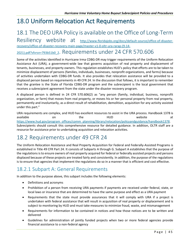# <span id="page-50-0"></span>18.0 Uniform Relocation Act Requirements

### 18.1 The DEO URA Policy is available on the Office of Long-Term

Resiliency website at [http://www.floridajobs.org/docs/default-source/office-of-disaster](http://www.floridajobs.org/docs/default-source/office-of-disaster-recovery/office-of-disaster-recovery-main-page/master-v1-0-oltr-ura-rarap-(9-14-2021).pdf?sfvrsn=793b51b0_2)[recovery/office-of-disaster-recovery-main-page/master-v1-0-oltr-ura-rarap-\(9-14-](http://www.floridajobs.org/docs/default-source/office-of-disaster-recovery/office-of-disaster-recovery-main-page/master-v1-0-oltr-ura-rarap-(9-14-2021).pdf?sfvrsn=793b51b0_2) [2021\).pdf?sfvrsn=793b51b0\\_2](http://www.floridajobs.org/docs/default-source/office-of-disaster-recovery/office-of-disaster-recovery-main-page/master-v1-0-oltr-ura-rarap-(9-14-2021).pdf?sfvrsn=793b51b0_2). Requirements under 24 CFR 570.606

<span id="page-50-1"></span>Some of the activities identified in Hurricane Irma CDBG-DR may trigger requirements of the Uniform Relocation Assistance Act (URA), a government-wide law that governs acquisition of real property and displacement of tenants, businesses, and property owners. This regulation establishes HUD's policy that efforts are to be taken to minimize displacement of persons (families, individuals, businesses, nonprofit organizations, and farms) because of activities undertaken with CDBG-DR funds. It also provides that relocation assistance will be provided to a

displaced person based on requirements in 49 CFR 24. In the discussion that follows, it is important to remember that the grantee is the State of Florida CDBG-DR program and the subrecipient is the local government that receives a subrecipient agreement from the state under the disaster recovery program.

A displaced person is defined in 24 CFR 570.606(2) as "any person (family, individual, business, nonprofit organization, or farm) that moves from real property, or moves his or her personal property from real property, permanently and involuntarily, as a direct result of rehabilitation, demolition, acquisition for any activity assisted under this part."

URA requirements are complex, and HUD has excellent resources to assist in the URA process. Handbook 1378 is available on the HUD website at [https://www.hud.gov/program\\_offices/comm\\_planning/library/relocation/policyandguidance/handbook1378.](https://www.hud.gov/program_offices/comm_planning/library/relocation/policyandguidance/handbook1378) Subrecipients should consult this comprehensive resource for detailed guidance. In addition, OLTR staff are a resource for assistance prior to undertaking acquisition and relocation activities.

### <span id="page-50-2"></span>18.2 Requirements under 49 CFR 24

The Uniform Relocation Assistance and Real Property Acquisition for Federal and Federally-Assisted Programs is established in Title 49 CFR Part 24. It consists of Subparts A through G. Subpart A establishes that the purpose of the regulations is to ensure owners of real property acquired for federal or federally assisted projects and persons displaced because of these projects are treated fairly and consistently. In addition, the purpose of the regulations is to ensure that agencies that implement the regulations do so in a manner that is efficient and cost effective.

#### <span id="page-50-3"></span>18.2.1 Subpart A: General Requirements

In addition to the purpose above, this subpart includes the following elements:

- Definitions and acronyms
- Prohibition of a person from receiving URA payments if payments are received under federal, state, or local laws or insurance that are determined to have the same purpose and effect as a URA payment
- Requirements that the state must provide assurances that it will comply with URA if a project is undertaken with federal assistance that will result in acquisition of real property or displacement and is subject to monitoring by HUD and must take measures to minimize fraud, waste, and mismanagement
- Requirements for information to be contained in notices and how those notices are to be written and delivered
- Guidelines for administration of jointly funded projects when two or more federal agencies provide financial assistance to a non-federal agency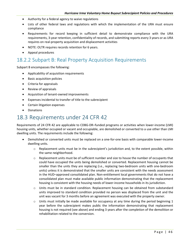- Authority for a federal agency to waive regulations
- Lists of other federal laws and regulations with which the implementation of the URA must ensure compliance
- Requirements for record keeping in sufficient detail to demonstrate compliance with the URA requirements, 3-year retention, confidentiality of records, and submitting reports every 3 years or as URA requires on real-property acquisition and displacement activities
- NOTE: OLTR requires records retention for 6 years.
- Appeal procedures

#### <span id="page-51-0"></span>18.2.2 Subpart B: Real Property Acquisition Requirements

Subpart B encompasses the following:

- Applicability of acquisition requirements
- Basic acquisition policies
- Criteria for appraisals
- Review of appraisals
- Acquisition of tenant-owned improvements
- Expenses incidental to transfer of title to the subrecipient
- Certain litigation expenses
- Donations

#### <span id="page-51-1"></span>18.3 Requirements under 24 CFR 42

Requirements of 24 CFR 42 are applicable to CDBG-DR–funded programs or activities when lower-income (LMI) housing units, whether occupied or vacant and occupiable, are demolished or converted to a use other than LMI dwelling units. The requirements include the following:

- Demolished or converted units must be replaced on a one-for-one basis with comparable lower-income dwelling units.
	- o Replacement units must be in the subrecipient's jurisdiction and, to the extent possible, within the same neighborhood.
	- $\circ$  Replacement units must be of sufficient number and size to house the number of occupants that could have occupied the units being demolished or converted. Replacement housing cannot be smaller than the units they are replacing (i.e., replacing two-bedroom units with one-bedroom units) unless it is demonstrated that the smaller units are consistent with the needs assessment in the HUD–approved consolidated plan. Non-entitlement local governments that do not have a consolidated plan must make available public information demonstrating that the replacement housing is consistent with the housing needs of lower-income households in its jurisdiction.
	- o Units must be in standard condition. Replacement housing can be obtained from substandard units improved to standard condition provided no person was displaced from the unit and the unit was vacant for 3 months before an agreement was executed with the property owner.
	- $\circ$  Units must initially be made available for occupancy at any time during the period beginning 1 year before the subrecipient makes public the information demonstrating that replacement housing is not required (see above) and ending 3 years after the completion of the demolition or rehabilitation related to the conversion.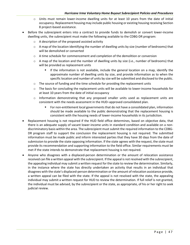- $\circ$  Units must remain lower-income dwelling units for at least 10 years from the date of initial occupancy. Replacement housing may include public housing or existing housing receiving Section 8 project-based assistance.
- Before the subrecipient enters into a contract to provide funds to demolish or convert lower-income dwelling units, the subrecipient must make the following available to the CDBG-DR program:
	- o A description of the proposed assisted activity
	- $\circ$  A map of the location identifying the number of dwelling units by size (number of bedrooms) that will be demolished or converted
	- o A time schedule for commencement and completion of the demolition or conversion
	- $\circ$  A map of the location and the number of dwelling units by size (i.e., number of bedrooms) that will be provided as replacement units
		- If the information is not available, include the general location on a map, identify the approximate number of dwelling units by size, and provide information as to when the specific location and number of units by size will be submitted and disclosed to the public.
	- $\circ$  The source of funding and the time schedule for providing the replacement units
	- $\circ$  The basis for concluding the replacement units will be available to lower-income households for at least 10 years from the date of initial occupancy
	- $\circ$  Information demonstrating that any proposed smaller units used as replacement units are consistent with the needs assessment in the HUD–approved consolidated plan.
		- For non-entitlement local governments that do not have a consolidated plan, information should be made available to the public demonstrating that the replacement housing is consistent with the housing needs of lower-income households in its jurisdiction.
- Replacement housing is not required if the HUD field office determines, based on objective data, that there is an adequate supply of vacant lower-income units in standard condition and available on a nondiscriminatory basis within the area. The subrecipient must submit the required information to the CDBG-DR program staff to support the conclusion the replacement housing is not required. The submitted information must be made public and inform interested parties that they have 30 days from the date of submission to provide the state opposing information. If the state agrees with the request, the state must provide its recommendation and supporting information to the field office. Similar requirements must be met if the state intends to demonstrate that replacement housing is not required.
- Anyone who disagrees with a displaced-person determination or the amount of relocation assistance received can file a written appeal with the subrecipient. If the appeal is not resolved with the subrecipient, the appealing individual may submit a written request for the state to review the determination. Similarly, in the instance where the state has directly undertaken an activity that results in an individual that disagrees with the state's displaced-person determination or the amount of relocation assistance provide, a written appeal can be filed with the state. If the appeal is not resolved with the state, the appealing individual may submit a written request for HUD to review the determination. If full relief is not granted, the individual must be advised, by the subrecipient or the state, as appropriate, of his or her right to seek judicial review.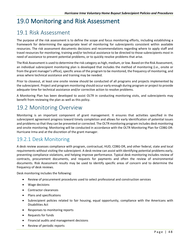# <span id="page-53-0"></span>19.0 Monitoring and Risk Assessment

#### <span id="page-53-1"></span>19.1 Risk Assessment

The purpose of the risk assessment is to define the scope and focus monitoring efforts, including establishing a framework for determining the appropriate level of monitoring for subrecipients consistent within available resources. The risk assessment documents decisions and recommendations regarding where to apply staff and travel resources for monitoring, training and/or technical assistance to be directed to those subrecipients most in need of assistance to prevent potential problems, or to quickly resolve problems that arise.

The Risk Assessment is used to determine the risk category as high, medium, or low. Based on the Risk Assessment, an individual subrecipient monitoring plan is developed that includes the method of monitoring (i.e., onsite or from the grant manager's office), specific areas of the program to be monitored, the frequency of monitoring, and areas where technical assistance and training may be needed.

Prior to closeout, at least one onsite review should be conducted of all programs and projects implemented by the subrecipient. Project and program monitoring should occur early enough during program or project to provide adequate time for technical assistance and/or corrective action to resolve problems.

A Monitoring Plan has been developed to assist OLTR in conducting monitoring visits, and subrecipients may benefit from reviewing the plan as well as this policy.

#### <span id="page-53-2"></span>19.2 Monitoring Overview

Monitoring is an important component of grant management. It ensures that activities specified in the subrecipient agreement progress toward timely completion and allows for early identification of potential issues and problems so that they can be prevented or corrected. The OLTR monitoring program includes desk monitoring and onsite monitoring. Monitoring will be conducted in accordance with the OLTR Monitoring Plan for CDBG-DR: Hurricane Irma and at the discretion of the grant manager.

#### <span id="page-53-3"></span>19.2.1 Desk Monitoring

A desk review assesses compliance with program, contractual, HUD, CDBG-DR, and other federal, state and local requirements without visiting the subrecipient. A desk review can assist with identifying potential problems early, preventing compliance violations, and helping improve performance. Typical desk monitoring includes review of contracts, procurement documents, and requests for payments and often the review of environmental documents. Risk Assessment results may be used to identify specific areas of concern and to determine the frequency of desk reviews.

Desk monitoring includes the following:

- Review of procurement procedures used to select professional and construction services
- Wage decisions
- Contractor clearances
- Plans and specifications
- Subrecipient policies related to fair housing, equal opportunity, compliance with the Americans with Disabilities Act
- Responses to monitoring reports
- Requests for funds
- Financial audits and management decisions
- Review of periodic reports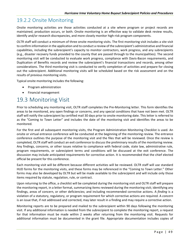#### <span id="page-54-0"></span>19.2.2 Onsite Monitoring

Onsite monitoring activities are those activities conducted at a site where program or project records are maintained, production occurs, or both. Onsite monitoring is an effective way to validate desk review results, identify and/or research discrepancies, and more closely monitor high-risk program components.

OLTR staff will conduct a minimum of three onsite monitoring visits. The first monitoring visit includes a site visit to confirm information in the application and to conduct a review of the subrecipient's administrative and financial capabilities, including the subrecipient's capacity to monitor contractors, work progress, and any subrecipients (e.g., disaster recovery funds provided to the county that are passed through to the municipalities). The second monitoring visit will be conducted to evaluate work progress, compliance with Davis-Bacon requirements, and Duplication of Benefits records and review the subrecipient's financial transactions and records, among other considerations. The third monitoring visit is conducted to verify completion of activities and prepare for closing out the subrecipient. Additional monitoring visits will be scheduled based on the risk assessment and on the results of previous monitoring visits.

Typical onsite monitoring includes the following:

- Program administration
- Financial management

#### <span id="page-54-1"></span>19.3 Monitoring Visit

Prior to scheduling any monitoring visit, OLTR staff completes the Pre-Monitoring letter. This form identifies the areas to be monitored, any open findings or concerns, and any special conditions that have not been met. OLTR staff will notify the subrecipient by certified mail 30 days prior to onsite monitoring date. This letter is referred to as the "Coming to Town Letter" and includes the date of the monitoring visit and identifies the areas to be monitored.

For the first and all subsequent monitoring visits, the Program Administration Monitoring Checklist is used. An onsite or virtual entrance conference will be conducted at the beginning of the monitoring review. The entrance conference outlines the purpose of the monitoring visit and the files that will be reviewed. Once the review is completed, OLTR staff will conduct an exit conference to discuss the preliminary results of the monitoring review. Any findings, concerns, or other issues relative to compliance with federal code, state law, administrative rule, program requirements, or subrecipient terms and conditions will be discussed at the exit conference. The discussion may include anticipated requirements for corrective action. It is recommended that the chief elected official be present for this conference.

Each monitoring visit will be different because different activities will be reviewed. OLTR staff will use standard HUD forms for the monitoring visits, and these forms may be referenced in the "Coming to Town Letter." Other forms may also be developed by OLTR but will be made available to the subrecipient and will include only those items required by statute, regulation, rule, or contract.

Upon returning to the office, a checklist will be completed during the monitoring visit and OLTR staff will prepare the monitoring report, in a letter format, summarizing items reviewed during the monitoring visit; identifying any findings, areas of concern, or other deficiencies; and including recommended corrective actions. A *finding* is a violation of a statutory, regulatory, or program requirement for which corrective actions are required. A *concern* is an issue that, if not addressed and corrected, may later result in a finding and may require a corrective action.

Monitoring reports are to be prepared and mailed to the subrecipient within 90 days following the monitoring visit. If any additional information is needed from the subrecipient to complete the monitoring report, a request for that information must be made within 2 weeks after returning from the monitoring visit. Requests for additional information must be documented in the grant file. Appropriate documentation includes copies of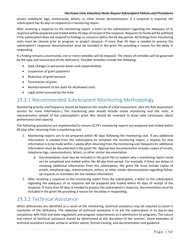emails, telephone logs, memoranda, letters, or other similar documentation. If a response is required, the subrecipient has 45 days to respond to a monitoring report.

After receiving a response to the monitoring report, a letter to the subrecipient regarding the adequacy of its response will be prepared and mailed within 45 days of receipt of the response. Requests for funds will be withheld if the subrecipient does not respond to findings or concerns within the 45-day period. All findings from monitoring visits must be cleared prior to program or project closeout. If more than 45 days is needed to process the subrecipient's response, documentation must be included in the grant file providing a reason for the delay in responding.

If a finding remains uncorrected, one or more remedies will be imposed. The choice of remedies will be governed by the type and seriousness of the deficiency. Possible remedies include the following:

- Seek changes in personnel duties and responsibilities
- Suspension of grant payments
- Reduction of grant amount
- Termination of grant
- Reimbursement to the state for disallowed costs
- Legal action pursued by the state

#### <span id="page-55-0"></span>19.3.1 Recommended Subrecipient Monitoring Methodology

Monitoring priority and frequency should be based on the results of a Risk Assessment. (See the [Risk Assessment](#page-53-1) section for more information.) The monitoring plan should include onsite monitoring and site visits. A representative sample of the subrecipient's grant files should be reviewed to draw valid conclusions about performance and capacity.

The following procedures are implemented to ensure OLTR's monitoring reports are prepared and mailed within 90 days after returning from a monitoring visit.

- 1. Monitoring reports are to be prepared within 90 days following the monitoring visit. If any additional information is needed from the subrecipient to complete the monitoring report, a request for that information is to be made within 2 weeks after returning from the monitoring visit. Requests for additional information must be documented in the grant file. Appropriate documentation includes copies of emails, telephone logs, memorandums, letters, or other similar documentation.
	- A. Documentation must also be included in the grant file to explain why a monitoring report could not be completed and mailed within the 60-day time period. For example, if there are delays in receiving additional information from the subrecipient, the grant file must include copies of emails, telephone logs, memorandums, letters, or other similar documentation regarding followup requests or reminders for the needed information.
- 2. After receiving a response to the monitoring report from the subrecipient, a letter to the subrecipient regarding the adequacy of its response will be prepared and mailed within 45 days of receipt of the response. If more than 45 days is needed to process the subrecipient's response, documentation must be included in the grant file providing a reason for the delay in responding.

#### <span id="page-55-1"></span>19.3.2 Technical Assistance

When deficiencies are identified as a result of the monitoring, technical assistance may be required to assist in resolution of the deficiency. The objective of technical assistance is to aid the subrecipient in its day-to-day compliance with HUD and state regulations and program requirements as it administers its programs. The nature and extent of technical assistance should be determined at the discretion of the monitor. Some examples of technical assistance include verbal or written advice, formal training, and documentation and guidance.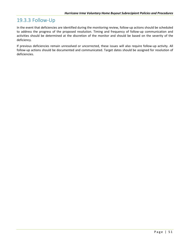#### <span id="page-56-0"></span>19.3.3 Follow-Up

In the event that deficiencies are identified during the monitoring review, follow-up actions should be scheduled to address the progress of the proposed resolution. Timing and frequency of follow-up communication and activities should be determined at the discretion of the monitor and should be based on the severity of the deficiency.

If previous deficiencies remain unresolved or uncorrected, these issues will also require follow-up activity. All follow-up actions should be documented and communicated. Target dates should be assigned for resolution of deficiencies.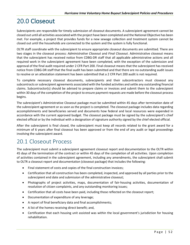# <span id="page-57-0"></span>20.0 Closeout

Subrecipients are responsible for timely submission of closeout documents. A subrecipient agreement cannot be closed out until all activities associated with the project have been completed and the National Objective has been met. For example, a project that provides funds for a new sewage collection and treatment system cannot be closed out until the households are connected to the system and the system is fully functional.

OLTR staff coordinate with the subrecipient to ensure appropriate closeout documents are submitted. There are two stages in the closeout process: *Administrative Closeout* and *Final Closeout*. Administrative closeout means that the subrecipient has received notice from CDBG-DR staff that all applicable administrative actions and all required work in the subrecipient agreement have been completed, with the exception of the submission and approval of the final audit required under 2 CFR Part 200. Final closeout means that the subrecipient has received notice from CDBG-DR staff that the final audit has been submitted and that there are no outstanding audit issues to resolve or an attestation statement has been submitted that a 2 CFR Part 200 audit is not required.

To complete necessary closeout documents, subrecipients and their subcontractors must closeout any subcontracts or subrecipient agreements associated with the funded activities and settle any outstanding financial claims. Subcontractor(s) should be advised to prepare claims or invoices and submit them to the subrecipient within 30 days of the completion of the project to ensure payment requests are made before the closeout process begins.

The subrecipient's Administrative Closeout package must be submitted within 45 days after termination date of the subrecipient agreement or as soon as the project is completed. The closeout package includes data regarding accomplishments and beneficiaries served and documents how federal and local resources were expended in accordance with the current approved budget. The closeout package must be signed by the subrecipient's chief elected official or by the individual with a designation of signature authority signed by the chief elected official.

After the subrecipient is final closed, the subrecipient must keep all records related to the grant award for a minimum of 6 years after final closeout has been approved or from the end of any audit or legal proceedings involving the subrecipient award.

# <span id="page-57-1"></span>20.1 Closeout Process

The subrecipient must submit a subrecipient agreement closeout report and documentation to the OLTR within 45 days of the termination of the contract or within 45 days of the completion of all activities. Upon completion of activities contained in the subrecipient agreement, including any amendments, the subrecipient shall submit to OLTR a closeout report and documentation (closeout package) that includes the following:

- Final statement of costs and copies of the final construction invoices;
- Certification that all construction has been completed, inspected, and approved by all parties prior to the subrecipient end date and submission of the administrative closeout;
- Photographs of project activities, maps, documentation of fair-housing activities, documentation of resolution of citizen complaints, and any outstanding monitoring issues;
- Certification that all costs have been paid, including those reflected on the closeout report;
- Documentation of expenditure of any leverage;
- A report of final beneficiary data and final accomplishments;
- A list of the homes receiving direct benefit; and,
- Certification that each housing unit assisted was within the local government's jurisdiction for housing rehabilitation.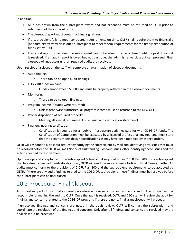In addition:

- All funds drawn from the subrecipient award and not expended must be returned to OLTR prior to submission of the closeout report.
- The closeout report must contain original signatures.
- If a subrecipient fails to meet contractual requirements on time, OLTR shall require them to financially (not administratively) close out a subrecipient to meet federal requirements for the timely distribution of funds set by HUD.
- If an audit report is past due, the subrecipient cannot be administratively closed until the past due audit is received. If an audit report is owed but not past due, the administrative closeout can proceed. Final closeout will not occur until all required audits are received.

Upon receipt of a closeout, the staff will complete an examination of closeout documents:

- Audit findings
	- o There can be no open audit findings.
- CDBG-DR funds on hand
	- $\circ$  Funds cannot exceed \$5,000 and must be properly reflected in the closeout documents.
- **Monitoring** 
	- o There can be no open findings.
- Program income (if funds were returned)
	- $\circ$  Unless otherwise authorized, all program income must be returned to the DEO OLTR.
- Proper disposition of acquired property
	- o Meeting all special requirements (i.e., map and certification statement)
- Final engineering certification
	- $\circ$  Certification is required for all public infrastructure activities paid for with CDBG-DR funds. The Certification of Completion must be executed by a licensed professional engineer and must state that the activity meets design specifications as may have been modified by change orders.

OLTR will respond to a closeout request by notifying the subrecipient by mail and identifying any issues that must be resolved before the OLTR will mail Notice of Outstanding Closeout Issues letter identifying these issues and the actions needed to resolve them.

Upon receipt and acceptance of the subrecipient 's final audit required under 2 CFR Part 200, for a subrecipient that has already been administratively closed, OLTR will send the subrecipient a Notice of Final Closeout letter. All audits must conform to the provisions of 2 CFR Part 200 and the subrecipient requirements to be accepted by OLTR. If there are any audit findings related to the CDBG-DR subrecipient, these findings must be resolved before the subrecipient can be final closed.

### <span id="page-58-0"></span>20.2 Procedure: Final Closeout

An important part of the final closeout procedure is reviewing the subrecipient's audit. The subrecipient is responsible for mailing the audit to OLTR. Once the audit is received, OLTR and DEO staff will review the audit for findings and concerns related to the CDBG-DR program. If there are none, final grant closeout will proceed.

If unresolved findings and concerns are noted in the audit review, OLTR will contact the subrecipient and coordinate the resolution of the findings and concerns. Only after all findings and concerns are resolved may the final closeout be processed.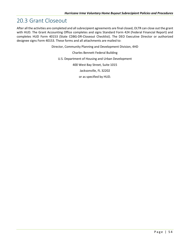#### <span id="page-59-0"></span>20.3 Grant Closeout

After all the activities are completed and all subrecipient agreements are final closed, OLTR can close out the grant with HUD. The Grant Accounting Office completes and signs Standard Form 424 (Federal Financial Report) and completes HUD Form 40153 (State CDBG-DR-Closeout Checklist). The DEO Executive Director or authorized designee signs Form 40153. These forms and all attachments are mailed to:

Director, Community Planning and Development Division, 4HD

Charles Bennett Federal Building

U.S. Department of Housing and Urban Development

400 West Bay Street, Suite 1015

Jacksonville, FL 32202

or as specified by HUD.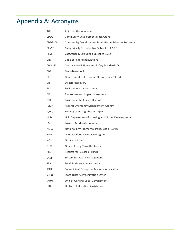# <span id="page-60-0"></span>Appendix A: Acronyms

| AGI           | <b>Adjusted Gross Income</b>                          |
|---------------|-------------------------------------------------------|
| CDBG          | <b>Community Development Block Grant</b>              |
| CDBG -DR      | Community Development Block Grant - Disaster Recovery |
| <b>CENST</b>  | Categorically Excluded Not Subject to § 58.5          |
| <b>CEST</b>   | Categorically Excluded Subject to§ 58.5               |
| <b>CFR</b>    | Code of Federal Regulations                           |
| <b>CWHSSA</b> | Contract Work Hours and Safety Standards Act          |
| <b>DBA</b>    | Davis-Bacon Act                                       |
| DEO           | Department of Economic Opportunity (Florida)          |
| DR            | Disaster Recovery                                     |
| EA            | <b>Environmental Assessment</b>                       |
| EIS           | <b>Environmental Impact Statement</b>                 |
| <b>ERR</b>    | <b>Environmental Review Record</b>                    |
| FEMA          | <b>Federal Emergency Management Agency</b>            |
| <b>FONSI</b>  | Finding of No Significant Impact                      |
| HUD           | U.S. Department of Housing and Urban Development      |
| LMI           | Low- to Moderate-Income                               |
| <b>NEPA</b>   | National Environmental Policy Act of 1969             |
| NFIP          | National Flood Insurance Program                      |
| NOL           | Notice of Intent                                      |
| OLTR          | Office of Long-Term Resiliency                        |
| <b>RROF</b>   | Request for Release of Funds                          |
| SAM           | System for Award Management                           |
| SBA           | <b>Small Business Administration</b>                  |
| SERA          | Subrecipient Enterprise Resource Application          |
| <b>SHPO</b>   | <b>State Historic Preservation Office</b>             |
| <b>UGLG</b>   | Unit of General Local Government                      |
| URA           | Uniform Relocation Assistance                         |